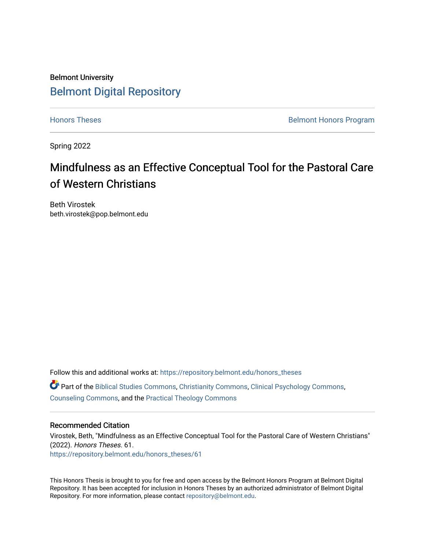# Belmont University [Belmont Digital Repository](https://repository.belmont.edu/)

[Honors Theses](https://repository.belmont.edu/honors_theses) **Belmont Honors Program** 

Spring 2022

# Mindfulness as an Effective Conceptual Tool for the Pastoral Care of Western Christians

Beth Virostek beth.virostek@pop.belmont.edu

Follow this and additional works at: [https://repository.belmont.edu/honors\\_theses](https://repository.belmont.edu/honors_theses?utm_source=repository.belmont.edu%2Fhonors_theses%2F61&utm_medium=PDF&utm_campaign=PDFCoverPages)   $\bullet$  Part of the [Biblical Studies Commons,](http://network.bepress.com/hgg/discipline/539?utm_source=repository.belmont.edu%2Fhonors_theses%2F61&utm_medium=PDF&utm_campaign=PDFCoverPages) [Christianity Commons,](http://network.bepress.com/hgg/discipline/1181?utm_source=repository.belmont.edu%2Fhonors_theses%2F61&utm_medium=PDF&utm_campaign=PDFCoverPages) [Clinical Psychology Commons,](http://network.bepress.com/hgg/discipline/406?utm_source=repository.belmont.edu%2Fhonors_theses%2F61&utm_medium=PDF&utm_campaign=PDFCoverPages) [Counseling Commons](http://network.bepress.com/hgg/discipline/1268?utm_source=repository.belmont.edu%2Fhonors_theses%2F61&utm_medium=PDF&utm_campaign=PDFCoverPages), and the [Practical Theology Commons](http://network.bepress.com/hgg/discipline/1186?utm_source=repository.belmont.edu%2Fhonors_theses%2F61&utm_medium=PDF&utm_campaign=PDFCoverPages)

## Recommended Citation

Virostek, Beth, "Mindfulness as an Effective Conceptual Tool for the Pastoral Care of Western Christians" (2022). Honors Theses. 61. [https://repository.belmont.edu/honors\\_theses/61](https://repository.belmont.edu/honors_theses/61?utm_source=repository.belmont.edu%2Fhonors_theses%2F61&utm_medium=PDF&utm_campaign=PDFCoverPages)

This Honors Thesis is brought to you for free and open access by the Belmont Honors Program at Belmont Digital Repository. It has been accepted for inclusion in Honors Theses by an authorized administrator of Belmont Digital Repository. For more information, please contact [repository@belmont.edu.](mailto:repository@belmont.edu)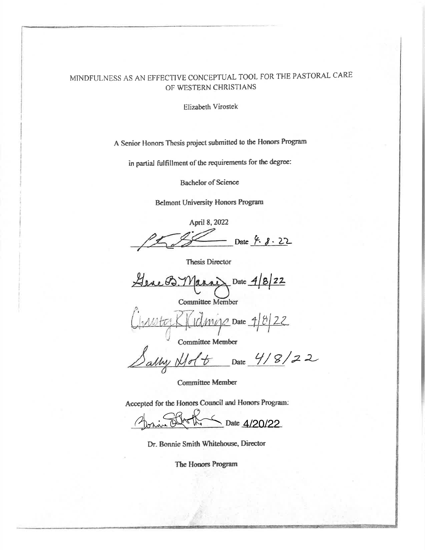# MINDFULNESS AS AN EFFECTIVE CONCEPTUAL TOOL FOR THE PASTORAL CARE OF WESTERN CHRISTIANS

Elizabeth Virostek

A Senior Honors Thesis project submitted to the Honors Program

in partial fulfillment of the requirements for the degree:

**Bachelor of Science** 

**Belmont University Honors Program** 

April 8, 2022 Date 4. 8. 22

**Thesis Director** 

Date  $4|8|22$ Here B.Y

**Committee Member** 

**Committee Member** 

 $\frac{1}{\frac{d}{dt}}\frac{1}{\frac{d}{dt}} = \frac{4}{2}$ <br>  $\frac{1}{t}$   $\frac{1}{t} = \frac{1}{t}$   $\frac{1}{t} = \frac{1}{t}$ 

**Committee Member** 

Accepted for the Honors Council and Honors Program:

Date 4/20/22

Dr. Bonnie Smith Whitehouse, Director

The Honors Program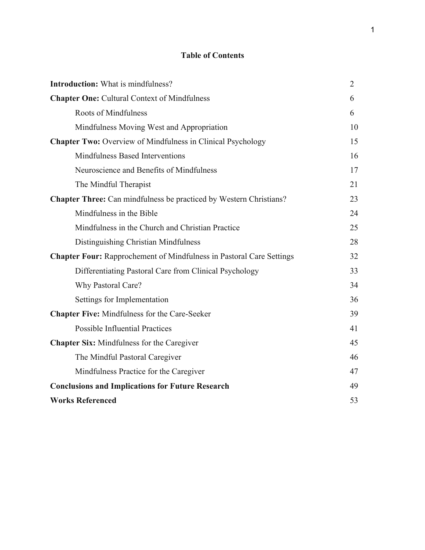# **Table of Contents**

| <b>Introduction:</b> What is mindfulness?                                   | $\overline{2}$ |
|-----------------------------------------------------------------------------|----------------|
| <b>Chapter One: Cultural Context of Mindfulness</b>                         | 6              |
| <b>Roots of Mindfulness</b>                                                 | 6              |
| Mindfulness Moving West and Appropriation                                   | 10             |
| <b>Chapter Two:</b> Overview of Mindfulness in Clinical Psychology          | 15             |
| Mindfulness Based Interventions                                             | 16             |
| Neuroscience and Benefits of Mindfulness                                    | 17             |
| The Mindful Therapist                                                       | 21             |
| <b>Chapter Three:</b> Can mindfulness be practiced by Western Christians?   | 23             |
| Mindfulness in the Bible                                                    | 24             |
| Mindfulness in the Church and Christian Practice                            | 25             |
| Distinguishing Christian Mindfulness                                        | 28             |
| <b>Chapter Four: Rapprochement of Mindfulness in Pastoral Care Settings</b> | 32             |
| Differentiating Pastoral Care from Clinical Psychology                      | 33             |
| Why Pastoral Care?                                                          | 34             |
| Settings for Implementation                                                 | 36             |
| <b>Chapter Five: Mindfulness for the Care-Seeker</b>                        | 39             |
| <b>Possible Influential Practices</b>                                       | 41             |
| <b>Chapter Six:</b> Mindfulness for the Caregiver                           | 45             |
| The Mindful Pastoral Caregiver                                              | 46             |
| Mindfulness Practice for the Caregiver                                      | 47             |
| <b>Conclusions and Implications for Future Research</b>                     | 49             |
| <b>Works Referenced</b>                                                     | 53             |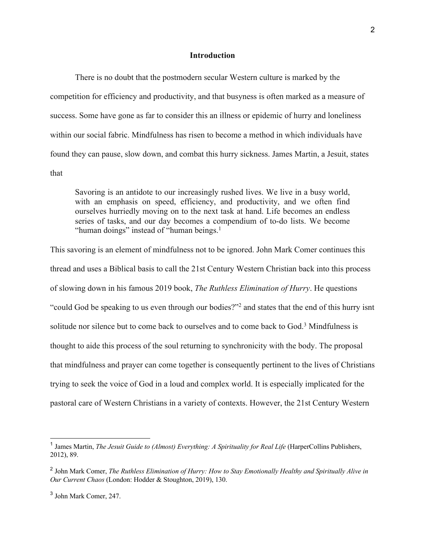## **Introduction**

There is no doubt that the postmodern secular Western culture is marked by the competition for efficiency and productivity, and that busyness is often marked as a measure of success. Some have gone as far to consider this an illness or epidemic of hurry and loneliness within our social fabric. Mindfulness has risen to become a method in which individuals have found they can pause, slow down, and combat this hurry sickness. James Martin, a Jesuit, states that

Savoring is an antidote to our increasingly rushed lives. We live in a busy world, with an emphasis on speed, efficiency, and productivity, and we often find ourselves hurriedly moving on to the next task at hand. Life becomes an endless series of tasks, and our day becomes a compendium of to-do lists. We become "human doings" instead of "human beings. $<sup>1</sup>$ </sup>

This savoring is an element of mindfulness not to be ignored. John Mark Comer continues this thread and uses a Biblical basis to call the 21st Century Western Christian back into this process of slowing down in his famous 2019 book, *The Ruthless Elimination of Hurry*. He questions "could God be speaking to us even through our bodies?"2 and states that the end of this hurry isnt solitude nor silence but to come back to ourselves and to come back to  $God<sup>3</sup>$  Mindfulness is thought to aide this process of the soul returning to synchronicity with the body. The proposal that mindfulness and prayer can come together is consequently pertinent to the lives of Christians trying to seek the voice of God in a loud and complex world. It is especially implicated for the pastoral care of Western Christians in a variety of contexts. However, the 21st Century Western

<sup>&</sup>lt;sup>1</sup> James Martin, *The Jesuit Guide to (Almost) Everything: A Spirituality for Real Life* (HarperCollins Publishers, 2012), 89.

<sup>2</sup> John Mark Comer, *The Ruthless Elimination of Hurry: How to Stay Emotionally Healthy and Spiritually Alive in Our Current Chaos* (London: Hodder & Stoughton, 2019), 130.

<sup>3</sup> John Mark Comer, 247.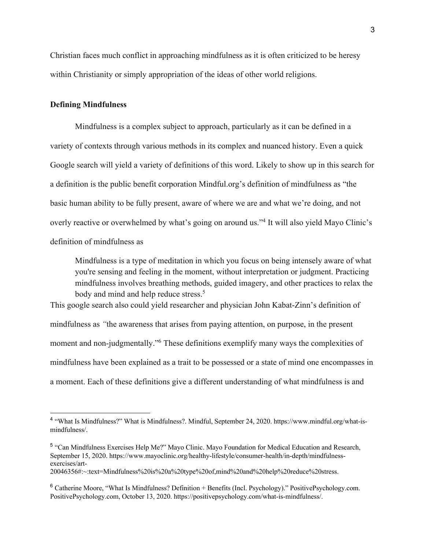Christian faces much conflict in approaching mindfulness as it is often criticized to be heresy within Christianity or simply appropriation of the ideas of other world religions.

## **Defining Mindfulness**

 Mindfulness is a complex subject to approach, particularly as it can be defined in a variety of contexts through various methods in its complex and nuanced history. Even a quick Google search will yield a variety of definitions of this word. Likely to show up in this search for a definition is the public benefit corporation Mindful.org's definition of mindfulness as "the basic human ability to be fully present, aware of where we are and what we're doing, and not overly reactive or overwhelmed by what's going on around us."4 It will also yield Mayo Clinic's definition of mindfulness as

Mindfulness is a type of meditation in which you focus on being intensely aware of what you're sensing and feeling in the moment, without interpretation or judgment. Practicing mindfulness involves breathing methods, guided imagery, and other practices to relax the body and mind and help reduce stress.<sup>5</sup>

This google search also could yield researcher and physician John Kabat-Zinn's definition of mindfulness as *"*the awareness that arises from paying attention, on purpose, in the present moment and non-judgmentally."6 These definitions exemplify many ways the complexities of mindfulness have been explained as a trait to be possessed or a state of mind one encompasses in a moment. Each of these definitions give a different understanding of what mindfulness is and

<sup>4</sup> "What Is Mindfulness?" What is Mindfulness?. Mindful, September 24, 2020. https://www.mindful.org/what-ismindfulness/.

<sup>5</sup> "Can Mindfulness Exercises Help Me?" Mayo Clinic. Mayo Foundation for Medical Education and Research, September 15, 2020. https://www.mayoclinic.org/healthy-lifestyle/consumer-health/in-depth/mindfulnessexercises/art-

<sup>20046356#:~:</sup>text=Mindfulness%20is%20a%20type%20of,mind%20and%20help%20reduce%20stress.

<sup>6</sup> Catherine Moore, "What Is Mindfulness? Definition + Benefits (Incl. Psychology)." PositivePsychology.com. PositivePsychology.com, October 13, 2020. https://positivepsychology.com/what-is-mindfulness/.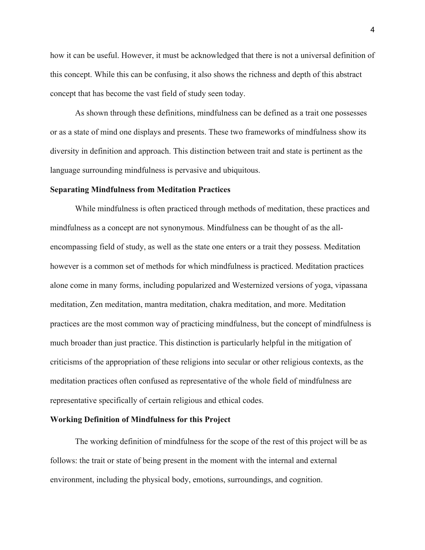how it can be useful. However, it must be acknowledged that there is not a universal definition of this concept. While this can be confusing, it also shows the richness and depth of this abstract concept that has become the vast field of study seen today.

 As shown through these definitions, mindfulness can be defined as a trait one possesses or as a state of mind one displays and presents. These two frameworks of mindfulness show its diversity in definition and approach. This distinction between trait and state is pertinent as the language surrounding mindfulness is pervasive and ubiquitous.

#### **Separating Mindfulness from Meditation Practices**

 While mindfulness is often practiced through methods of meditation, these practices and mindfulness as a concept are not synonymous. Mindfulness can be thought of as the allencompassing field of study, as well as the state one enters or a trait they possess. Meditation however is a common set of methods for which mindfulness is practiced. Meditation practices alone come in many forms, including popularized and Westernized versions of yoga, vipassana meditation, Zen meditation, mantra meditation, chakra meditation, and more. Meditation practices are the most common way of practicing mindfulness, but the concept of mindfulness is much broader than just practice. This distinction is particularly helpful in the mitigation of criticisms of the appropriation of these religions into secular or other religious contexts, as the meditation practices often confused as representative of the whole field of mindfulness are representative specifically of certain religious and ethical codes.

## **Working Definition of Mindfulness for this Project**

 The working definition of mindfulness for the scope of the rest of this project will be as follows: the trait or state of being present in the moment with the internal and external environment, including the physical body, emotions, surroundings, and cognition.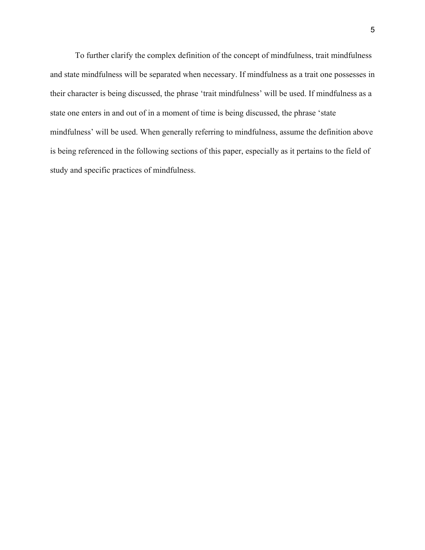To further clarify the complex definition of the concept of mindfulness, trait mindfulness and state mindfulness will be separated when necessary. If mindfulness as a trait one possesses in their character is being discussed, the phrase 'trait mindfulness' will be used. If mindfulness as a state one enters in and out of in a moment of time is being discussed, the phrase 'state mindfulness' will be used. When generally referring to mindfulness, assume the definition above is being referenced in the following sections of this paper, especially as it pertains to the field of study and specific practices of mindfulness.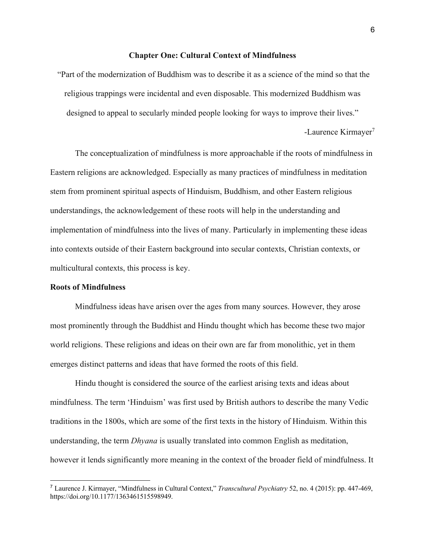## **Chapter One: Cultural Context of Mindfulness**

"Part of the modernization of Buddhism was to describe it as a science of the mind so that the religious trappings were incidental and even disposable. This modernized Buddhism was designed to appeal to secularly minded people looking for ways to improve their lives."

-Laurence Kirmayer<sup>7</sup>

 The conceptualization of mindfulness is more approachable if the roots of mindfulness in Eastern religions are acknowledged. Especially as many practices of mindfulness in meditation stem from prominent spiritual aspects of Hinduism, Buddhism, and other Eastern religious understandings, the acknowledgement of these roots will help in the understanding and implementation of mindfulness into the lives of many. Particularly in implementing these ideas into contexts outside of their Eastern background into secular contexts, Christian contexts, or multicultural contexts, this process is key.

## **Roots of Mindfulness**

Mindfulness ideas have arisen over the ages from many sources. However, they arose most prominently through the Buddhist and Hindu thought which has become these two major world religions. These religions and ideas on their own are far from monolithic, yet in them emerges distinct patterns and ideas that have formed the roots of this field.

Hindu thought is considered the source of the earliest arising texts and ideas about mindfulness. The term 'Hinduism' was first used by British authors to describe the many Vedic traditions in the 1800s, which are some of the first texts in the history of Hinduism. Within this understanding, the term *Dhyana* is usually translated into common English as meditation, however it lends significantly more meaning in the context of the broader field of mindfulness. It

<sup>7</sup> Laurence J. Kirmayer, "Mindfulness in Cultural Context," *Transcultural Psychiatry* 52, no. 4 (2015): pp. 447-469, https://doi.org/10.1177/1363461515598949.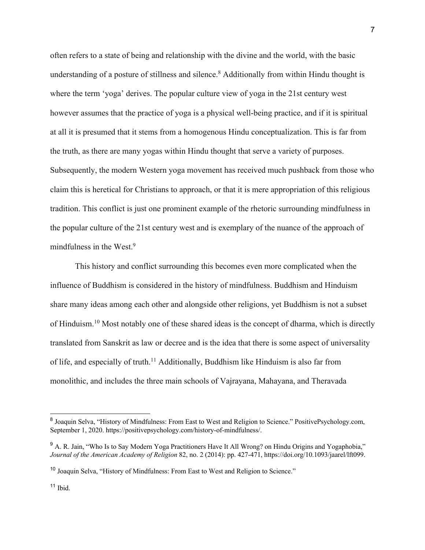often refers to a state of being and relationship with the divine and the world, with the basic understanding of a posture of stillness and silence.<sup>8</sup> Additionally from within Hindu thought is where the term 'yoga' derives. The popular culture view of yoga in the 21st century west however assumes that the practice of yoga is a physical well-being practice, and if it is spiritual at all it is presumed that it stems from a homogenous Hindu conceptualization. This is far from the truth, as there are many yogas within Hindu thought that serve a variety of purposes. Subsequently, the modern Western yoga movement has received much pushback from those who claim this is heretical for Christians to approach, or that it is mere appropriation of this religious tradition. This conflict is just one prominent example of the rhetoric surrounding mindfulness in the popular culture of the 21st century west and is exemplary of the nuance of the approach of mindfulness in the West.<sup>9</sup>

This history and conflict surrounding this becomes even more complicated when the influence of Buddhism is considered in the history of mindfulness. Buddhism and Hinduism share many ideas among each other and alongside other religions, yet Buddhism is not a subset of Hinduism.10 Most notably one of these shared ideas is the concept of dharma, which is directly translated from Sanskrit as law or decree and is the idea that there is some aspect of universality of life, and especially of truth.<sup>11</sup> Additionally, Buddhism like Hinduism is also far from monolithic, and includes the three main schools of Vajrayana, Mahayana, and Theravada

<sup>&</sup>lt;sup>8</sup> Joaquin Selva, "History of Mindfulness: From East to West and Religion to Science." PositivePsychology.com, September 1, 2020. https://positivepsychology.com/history-of-mindfulness/.

<sup>&</sup>lt;sup>9</sup> A. R. Jain, "Who Is to Say Modern Yoga Practitioners Have It All Wrong? on Hindu Origins and Yogaphobia," *Journal of the American Academy of Religion* 82, no. 2 (2014): pp. 427-471, https://doi.org/10.1093/jaarel/lft099.

<sup>&</sup>lt;sup>10</sup> Joaquin Selva, "History of Mindfulness: From East to West and Religion to Science."

 $11$  Ibid.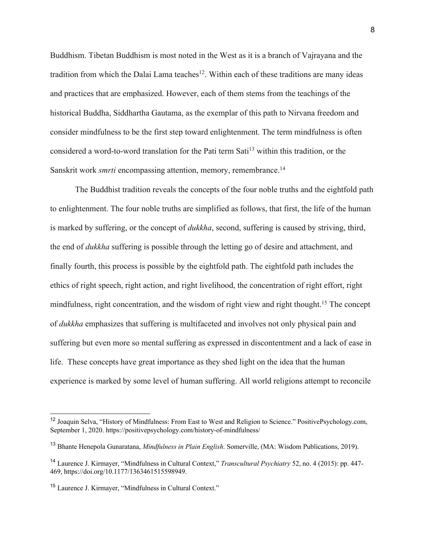Buddhism. Tibetan Buddhism is most noted in the West as it is a branch of Vajrayana and the tradition from which the Dalai Lama teaches<sup>12</sup>. Within each of these traditions are many ideas and practices that are emphasized. However, each of them stems from the teachings of the historical Buddha, Siddhartha Gautama, as the exemplar of this path to Nirvana freedom and consider mindfulness to be the first step toward enlightenment. The term mindfulness is often considered a word-to-word translation for the Pati term Sati<sup>13</sup> within this tradition, or the Sanskrit work *smrti* encompassing attention, memory, remembrance.<sup>14</sup>

The Buddhist tradition reveals the concepts of the four noble truths and the eightfold path to enlightenment. The four noble truths are simplified as follows, that first, the life of the human is marked by suffering, or the concept of *dukkha*, second, suffering is caused by striving, third, the end of *dukkha* suffering is possible through the letting go of desire and attachment, and finally fourth, this process is possible by the eightfold path. The eightfold path includes the ethics of right speech, right action, and right livelihood, the concentration of right effort, right mindfulness, right concentration, and the wisdom of right view and right thought.<sup>15</sup> The concept of *dukkha* emphasizes that suffering is multifaceted and involves not only physical pain and suffering but even more so mental suffering as expressed in discontentment and a lack of ease in life. These concepts have great importance as they shed light on the idea that the human experience is marked by some level of human suffering. All world religions attempt to reconcile

<sup>12</sup> Joaquin Selva, "History of Mindfulness: From East to West and Religion to Science." PositivePsychology.com, September 1, 2020. https://positivepsychology.com/history-of-mindfulness/

<sup>13</sup> Bhante Henepola Gunaratana, *Mindfulness in Plain English*. Somerville, (MA: Wisdom Publications, 2019).

<sup>14</sup> Laurence J. Kirmayer, "Mindfulness in Cultural Context," *Transcultural Psychiatry* 52, no. 4 (2015): pp. 447- 469, https://doi.org/10.1177/1363461515598949.

<sup>15</sup> Laurence J. Kirmayer, "Mindfulness in Cultural Context."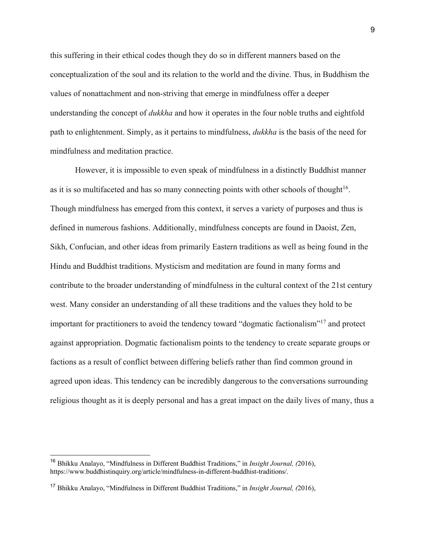this suffering in their ethical codes though they do so in different manners based on the conceptualization of the soul and its relation to the world and the divine. Thus, in Buddhism the values of nonattachment and non-striving that emerge in mindfulness offer a deeper understanding the concept of *dukkha* and how it operates in the four noble truths and eightfold path to enlightenment. Simply, as it pertains to mindfulness, *dukkha* is the basis of the need for mindfulness and meditation practice.

However, it is impossible to even speak of mindfulness in a distinctly Buddhist manner as it is so multifaceted and has so many connecting points with other schools of thought<sup>16</sup>. Though mindfulness has emerged from this context, it serves a variety of purposes and thus is defined in numerous fashions. Additionally, mindfulness concepts are found in Daoist, Zen, Sikh, Confucian, and other ideas from primarily Eastern traditions as well as being found in the Hindu and Buddhist traditions. Mysticism and meditation are found in many forms and contribute to the broader understanding of mindfulness in the cultural context of the 21st century west. Many consider an understanding of all these traditions and the values they hold to be important for practitioners to avoid the tendency toward "dogmatic factionalism"17 and protect against appropriation. Dogmatic factionalism points to the tendency to create separate groups or factions as a result of conflict between differing beliefs rather than find common ground in agreed upon ideas. This tendency can be incredibly dangerous to the conversations surrounding religious thought as it is deeply personal and has a great impact on the daily lives of many, thus a

<sup>16</sup> Bhikku Analayo, "Mindfulness in Different Buddhist Traditions," in *Insight Journal, (*2016), https://www.buddhistinquiry.org/article/mindfulness-in-different-buddhist-traditions/.

<sup>17</sup> Bhikku Analayo, "Mindfulness in Different Buddhist Traditions," in *Insight Journal, (*2016),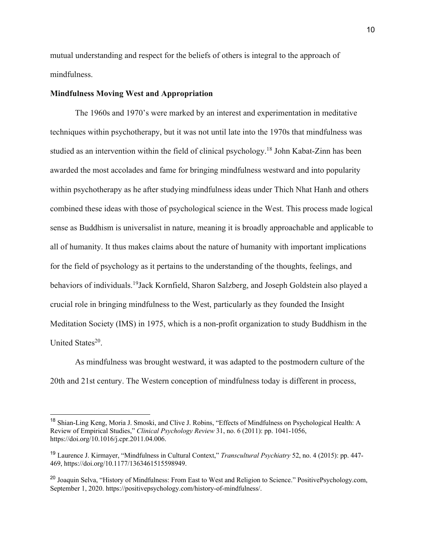mutual understanding and respect for the beliefs of others is integral to the approach of mindfulness.

#### **Mindfulness Moving West and Appropriation**

The 1960s and 1970's were marked by an interest and experimentation in meditative techniques within psychotherapy, but it was not until late into the 1970s that mindfulness was studied as an intervention within the field of clinical psychology.<sup>18</sup> John Kabat-Zinn has been awarded the most accolades and fame for bringing mindfulness westward and into popularity within psychotherapy as he after studying mindfulness ideas under Thich Nhat Hanh and others combined these ideas with those of psychological science in the West. This process made logical sense as Buddhism is universalist in nature, meaning it is broadly approachable and applicable to all of humanity. It thus makes claims about the nature of humanity with important implications for the field of psychology as it pertains to the understanding of the thoughts, feelings, and behaviors of individuals.<sup>19</sup>Jack Kornfield, Sharon Salzberg, and Joseph Goldstein also played a crucial role in bringing mindfulness to the West, particularly as they founded the Insight Meditation Society (IMS) in 1975, which is a non-profit organization to study Buddhism in the United States<sup>20</sup>.

As mindfulness was brought westward, it was adapted to the postmodern culture of the 20th and 21st century. The Western conception of mindfulness today is different in process,

<sup>18</sup> Shian-Ling Keng, Moria J. Smoski, and Clive J. Robins, "Effects of Mindfulness on Psychological Health: A Review of Empirical Studies," *Clinical Psychology Review* 31, no. 6 (2011): pp. 1041-1056, https://doi.org/10.1016/j.cpr.2011.04.006.

<sup>19</sup> Laurence J. Kirmayer, "Mindfulness in Cultural Context," *Transcultural Psychiatry* 52, no. 4 (2015): pp. 447- 469, https://doi.org/10.1177/1363461515598949.

<sup>&</sup>lt;sup>20</sup> Joaquin Selva, "History of Mindfulness: From East to West and Religion to Science." PositivePsychology.com, September 1, 2020. https://positivepsychology.com/history-of-mindfulness/.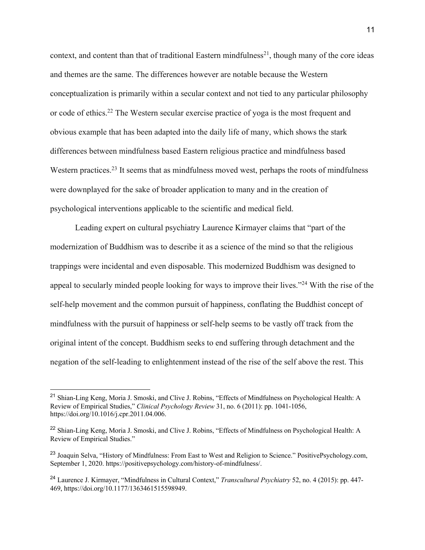context, and content than that of traditional Eastern mindfulness<sup>21</sup>, though many of the core ideas and themes are the same. The differences however are notable because the Western conceptualization is primarily within a secular context and not tied to any particular philosophy or code of ethics.22 The Western secular exercise practice of yoga is the most frequent and obvious example that has been adapted into the daily life of many, which shows the stark differences between mindfulness based Eastern religious practice and mindfulness based Western practices.<sup>23</sup> It seems that as mindfulness moved west, perhaps the roots of mindfulness were downplayed for the sake of broader application to many and in the creation of psychological interventions applicable to the scientific and medical field.

Leading expert on cultural psychiatry Laurence Kirmayer claims that "part of the modernization of Buddhism was to describe it as a science of the mind so that the religious trappings were incidental and even disposable. This modernized Buddhism was designed to appeal to secularly minded people looking for ways to improve their lives."24 With the rise of the self-help movement and the common pursuit of happiness, conflating the Buddhist concept of mindfulness with the pursuit of happiness or self-help seems to be vastly off track from the original intent of the concept. Buddhism seeks to end suffering through detachment and the negation of the self-leading to enlightenment instead of the rise of the self above the rest. This

<sup>&</sup>lt;sup>21</sup> Shian-Ling Keng, Moria J. Smoski, and Clive J. Robins, "Effects of Mindfulness on Psychological Health: A Review of Empirical Studies," *Clinical Psychology Review* 31, no. 6 (2011): pp. 1041-1056, https://doi.org/10.1016/j.cpr.2011.04.006.

<sup>&</sup>lt;sup>22</sup> Shian-Ling Keng, Moria J. Smoski, and Clive J. Robins, "Effects of Mindfulness on Psychological Health: A Review of Empirical Studies."

<sup>&</sup>lt;sup>23</sup> Joaquin Selva, "History of Mindfulness: From East to West and Religion to Science." PositivePsychology.com, September 1, 2020. https://positivepsychology.com/history-of-mindfulness/.

<sup>24</sup> Laurence J. Kirmayer, "Mindfulness in Cultural Context," *Transcultural Psychiatry* 52, no. 4 (2015): pp. 447- 469, https://doi.org/10.1177/1363461515598949.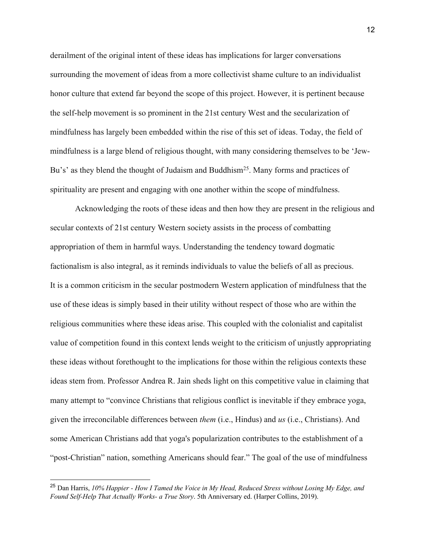derailment of the original intent of these ideas has implications for larger conversations surrounding the movement of ideas from a more collectivist shame culture to an individualist honor culture that extend far beyond the scope of this project. However, it is pertinent because the self-help movement is so prominent in the 21st century West and the secularization of mindfulness has largely been embedded within the rise of this set of ideas. Today, the field of mindfulness is a large blend of religious thought, with many considering themselves to be 'Jew-Bu's' as they blend the thought of Judaism and Buddhism<sup>25</sup>. Many forms and practices of spirituality are present and engaging with one another within the scope of mindfulness.

Acknowledging the roots of these ideas and then how they are present in the religious and secular contexts of 21st century Western society assists in the process of combatting appropriation of them in harmful ways. Understanding the tendency toward dogmatic factionalism is also integral, as it reminds individuals to value the beliefs of all as precious. It is a common criticism in the secular postmodern Western application of mindfulness that the use of these ideas is simply based in their utility without respect of those who are within the religious communities where these ideas arise. This coupled with the colonialist and capitalist value of competition found in this context lends weight to the criticism of unjustly appropriating these ideas without forethought to the implications for those within the religious contexts these ideas stem from. Professor Andrea R. Jain sheds light on this competitive value in claiming that many attempt to "convince Christians that religious conflict is inevitable if they embrace yoga, given the irreconcilable differences between *them* (i.e., Hindus) and *us* (i.e., Christians). And some American Christians add that yoga's popularization contributes to the establishment of a "post-Christian" nation, something Americans should fear." The goal of the use of mindfulness

<sup>25</sup> Dan Harris, *10% Happier - How I Tamed the Voice in My Head, Reduced Stress without Losing My Edge, and Found Self-Help That Actually Works- a True Story*. 5th Anniversary ed. (Harper Collins, 2019).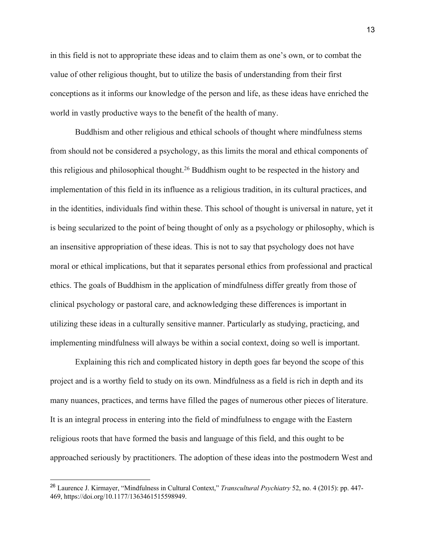in this field is not to appropriate these ideas and to claim them as one's own, or to combat the value of other religious thought, but to utilize the basis of understanding from their first conceptions as it informs our knowledge of the person and life, as these ideas have enriched the world in vastly productive ways to the benefit of the health of many.

Buddhism and other religious and ethical schools of thought where mindfulness stems from should not be considered a psychology, as this limits the moral and ethical components of this religious and philosophical thought.26 Buddhism ought to be respected in the history and implementation of this field in its influence as a religious tradition, in its cultural practices, and in the identities, individuals find within these. This school of thought is universal in nature, yet it is being secularized to the point of being thought of only as a psychology or philosophy, which is an insensitive appropriation of these ideas. This is not to say that psychology does not have moral or ethical implications, but that it separates personal ethics from professional and practical ethics. The goals of Buddhism in the application of mindfulness differ greatly from those of clinical psychology or pastoral care, and acknowledging these differences is important in utilizing these ideas in a culturally sensitive manner. Particularly as studying, practicing, and implementing mindfulness will always be within a social context, doing so well is important.

Explaining this rich and complicated history in depth goes far beyond the scope of this project and is a worthy field to study on its own. Mindfulness as a field is rich in depth and its many nuances, practices, and terms have filled the pages of numerous other pieces of literature. It is an integral process in entering into the field of mindfulness to engage with the Eastern religious roots that have formed the basis and language of this field, and this ought to be approached seriously by practitioners. The adoption of these ideas into the postmodern West and

<sup>26</sup> Laurence J. Kirmayer, "Mindfulness in Cultural Context," *Transcultural Psychiatry* 52, no. 4 (2015): pp. 447- 469, https://doi.org/10.1177/1363461515598949.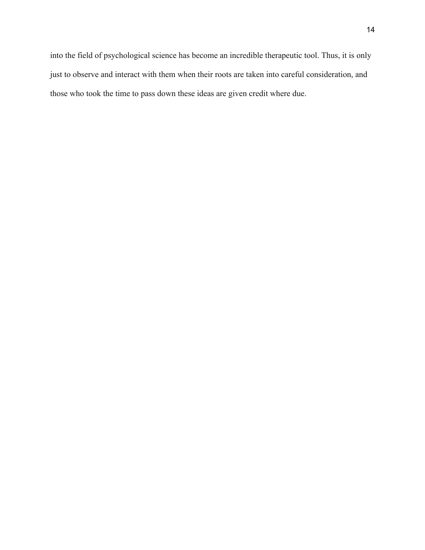into the field of psychological science has become an incredible therapeutic tool. Thus, it is only just to observe and interact with them when their roots are taken into careful consideration, and those who took the time to pass down these ideas are given credit where due.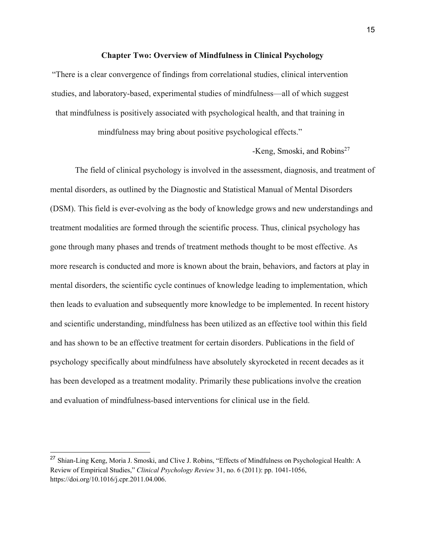#### **Chapter Two: Overview of Mindfulness in Clinical Psychology**

"There is a clear convergence of findings from correlational studies, clinical intervention studies, and laboratory-based, experimental studies of mindfulness—all of which suggest that mindfulness is positively associated with psychological health, and that training in

mindfulness may bring about positive psychological effects."

-Keng, Smoski, and Robins<sup>27</sup>

The field of clinical psychology is involved in the assessment, diagnosis, and treatment of mental disorders, as outlined by the Diagnostic and Statistical Manual of Mental Disorders (DSM). This field is ever-evolving as the body of knowledge grows and new understandings and treatment modalities are formed through the scientific process. Thus, clinical psychology has gone through many phases and trends of treatment methods thought to be most effective. As more research is conducted and more is known about the brain, behaviors, and factors at play in mental disorders, the scientific cycle continues of knowledge leading to implementation, which then leads to evaluation and subsequently more knowledge to be implemented. In recent history and scientific understanding, mindfulness has been utilized as an effective tool within this field and has shown to be an effective treatment for certain disorders. Publications in the field of psychology specifically about mindfulness have absolutely skyrocketed in recent decades as it has been developed as a treatment modality. Primarily these publications involve the creation and evaluation of mindfulness-based interventions for clinical use in the field.

<sup>&</sup>lt;sup>27</sup> Shian-Ling Keng, Moria J. Smoski, and Clive J. Robins, "Effects of Mindfulness on Psychological Health: A Review of Empirical Studies," *Clinical Psychology Review* 31, no. 6 (2011): pp. 1041-1056, https://doi.org/10.1016/j.cpr.2011.04.006.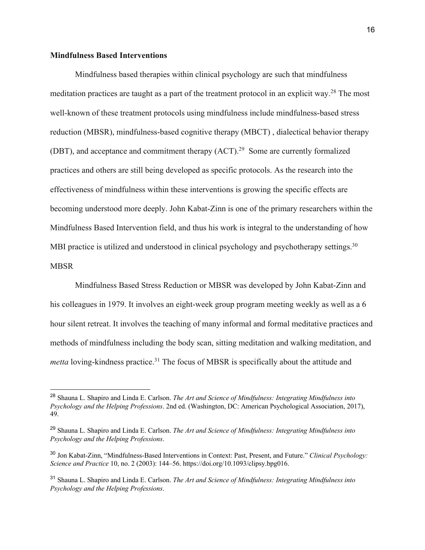## **Mindfulness Based Interventions**

Mindfulness based therapies within clinical psychology are such that mindfulness meditation practices are taught as a part of the treatment protocol in an explicit way.28 The most well-known of these treatment protocols using mindfulness include mindfulness-based stress reduction (MBSR), mindfulness-based cognitive therapy (MBCT) , dialectical behavior therapy (DBT), and acceptance and commitment therapy (ACT).29 Some are currently formalized practices and others are still being developed as specific protocols. As the research into the effectiveness of mindfulness within these interventions is growing the specific effects are becoming understood more deeply. John Kabat-Zinn is one of the primary researchers within the Mindfulness Based Intervention field, and thus his work is integral to the understanding of how MBI practice is utilized and understood in clinical psychology and psychotherapy settings.<sup>30</sup> MBSR

Mindfulness Based Stress Reduction or MBSR was developed by John Kabat-Zinn and his colleagues in 1979. It involves an eight-week group program meeting weekly as well as a 6 hour silent retreat. It involves the teaching of many informal and formal meditative practices and methods of mindfulness including the body scan, sitting meditation and walking meditation, and *metta* loving-kindness practice.<sup>31</sup> The focus of MBSR is specifically about the attitude and

<sup>28</sup> Shauna L. Shapiro and Linda E. Carlson. *The Art and Science of Mindfulness: Integrating Mindfulness into Psychology and the Helping Professions*. 2nd ed. (Washington, DC: American Psychological Association, 2017), 49.

<sup>29</sup> Shauna L. Shapiro and Linda E. Carlson. *The Art and Science of Mindfulness: Integrating Mindfulness into Psychology and the Helping Professions*.

<sup>30</sup> Jon Kabat‐Zinn, "Mindfulness‐Based Interventions in Context: Past, Present, and Future." *Clinical Psychology: Science and Practice* 10, no. 2 (2003): 144–56. https://doi.org/10.1093/clipsy.bpg016.

<sup>31</sup> Shauna L. Shapiro and Linda E. Carlson. *The Art and Science of Mindfulness: Integrating Mindfulness into Psychology and the Helping Professions*.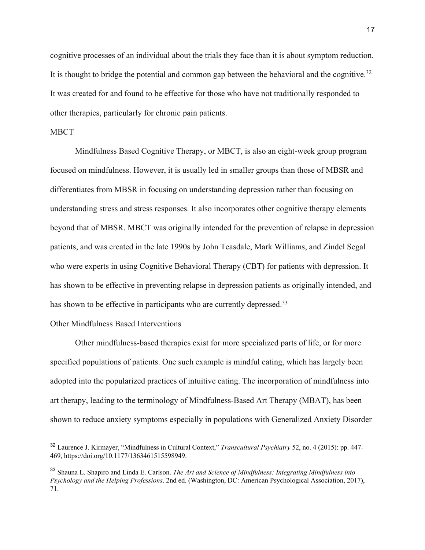cognitive processes of an individual about the trials they face than it is about symptom reduction. It is thought to bridge the potential and common gap between the behavioral and the cognitive.<sup>32</sup> It was created for and found to be effective for those who have not traditionally responded to other therapies, particularly for chronic pain patients.

## MBCT

Mindfulness Based Cognitive Therapy, or MBCT, is also an eight-week group program focused on mindfulness. However, it is usually led in smaller groups than those of MBSR and differentiates from MBSR in focusing on understanding depression rather than focusing on understanding stress and stress responses. It also incorporates other cognitive therapy elements beyond that of MBSR. MBCT was originally intended for the prevention of relapse in depression patients, and was created in the late 1990s by John Teasdale, Mark Williams, and Zindel Segal who were experts in using Cognitive Behavioral Therapy (CBT) for patients with depression. It has shown to be effective in preventing relapse in depression patients as originally intended, and has shown to be effective in participants who are currently depressed.<sup>33</sup>

## Other Mindfulness Based Interventions

Other mindfulness-based therapies exist for more specialized parts of life, or for more specified populations of patients. One such example is mindful eating, which has largely been adopted into the popularized practices of intuitive eating. The incorporation of mindfulness into art therapy, leading to the terminology of Mindfulness-Based Art Therapy (MBAT), has been shown to reduce anxiety symptoms especially in populations with Generalized Anxiety Disorder

<sup>32</sup> Laurence J. Kirmayer, "Mindfulness in Cultural Context," *Transcultural Psychiatry* 52, no. 4 (2015): pp. 447- 469, https://doi.org/10.1177/1363461515598949.

<sup>33</sup> Shauna L. Shapiro and Linda E. Carlson. *The Art and Science of Mindfulness: Integrating Mindfulness into Psychology and the Helping Professions*. 2nd ed. (Washington, DC: American Psychological Association, 2017), 71.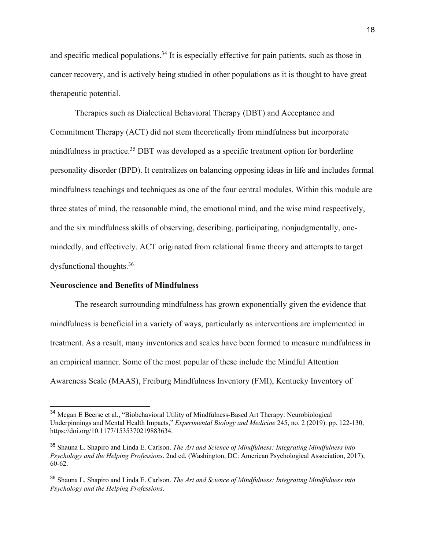and specific medical populations.<sup>34</sup> It is especially effective for pain patients, such as those in cancer recovery, and is actively being studied in other populations as it is thought to have great therapeutic potential.

Therapies such as Dialectical Behavioral Therapy (DBT) and Acceptance and Commitment Therapy (ACT) did not stem theoretically from mindfulness but incorporate mindfulness in practice.<sup>35</sup> DBT was developed as a specific treatment option for borderline personality disorder (BPD). It centralizes on balancing opposing ideas in life and includes formal mindfulness teachings and techniques as one of the four central modules. Within this module are three states of mind, the reasonable mind, the emotional mind, and the wise mind respectively, and the six mindfulness skills of observing, describing, participating, nonjudgmentally, onemindedly, and effectively. ACT originated from relational frame theory and attempts to target dysfunctional thoughts.36

#### **Neuroscience and Benefits of Mindfulness**

The research surrounding mindfulness has grown exponentially given the evidence that mindfulness is beneficial in a variety of ways, particularly as interventions are implemented in treatment. As a result, many inventories and scales have been formed to measure mindfulness in an empirical manner. Some of the most popular of these include the Mindful Attention Awareness Scale (MAAS), Freiburg Mindfulness Inventory (FMI), Kentucky Inventory of

<sup>34</sup> Megan E Beerse et al., "Biobehavioral Utility of Mindfulness-Based Art Therapy: Neurobiological Underpinnings and Mental Health Impacts," *Experimental Biology and Medicine* 245, no. 2 (2019): pp. 122-130, https://doi.org/10.1177/1535370219883634.

<sup>35</sup> Shauna L. Shapiro and Linda E. Carlson. *The Art and Science of Mindfulness: Integrating Mindfulness into Psychology and the Helping Professions*. 2nd ed. (Washington, DC: American Psychological Association, 2017), 60-62.

<sup>36</sup> Shauna L. Shapiro and Linda E. Carlson. *The Art and Science of Mindfulness: Integrating Mindfulness into Psychology and the Helping Professions*.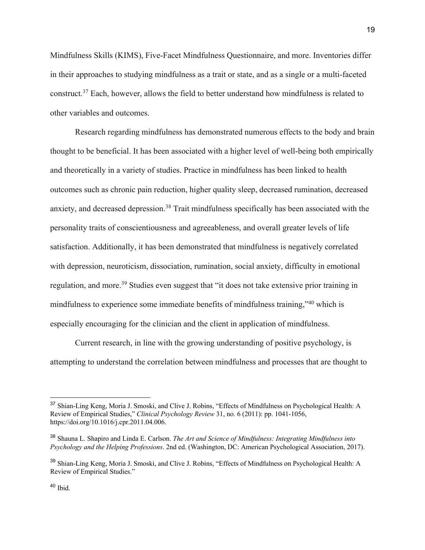Mindfulness Skills (KIMS), Five-Facet Mindfulness Questionnaire, and more. Inventories differ in their approaches to studying mindfulness as a trait or state, and as a single or a multi-faceted construct.37 Each, however, allows the field to better understand how mindfulness is related to other variables and outcomes.

Research regarding mindfulness has demonstrated numerous effects to the body and brain thought to be beneficial. It has been associated with a higher level of well-being both empirically and theoretically in a variety of studies. Practice in mindfulness has been linked to health outcomes such as chronic pain reduction, higher quality sleep, decreased rumination, decreased anxiety, and decreased depression.<sup>38</sup> Trait mindfulness specifically has been associated with the personality traits of conscientiousness and agreeableness, and overall greater levels of life satisfaction. Additionally, it has been demonstrated that mindfulness is negatively correlated with depression, neuroticism, dissociation, rumination, social anxiety, difficulty in emotional regulation, and more.<sup>39</sup> Studies even suggest that "it does not take extensive prior training in mindfulness to experience some immediate benefits of mindfulness training,"40 which is especially encouraging for the clinician and the client in application of mindfulness.

Current research, in line with the growing understanding of positive psychology, is attempting to understand the correlation between mindfulness and processes that are thought to

<sup>&</sup>lt;sup>37</sup> Shian-Ling Keng, Moria J. Smoski, and Clive J. Robins, "Effects of Mindfulness on Psychological Health: A Review of Empirical Studies," *Clinical Psychology Review* 31, no. 6 (2011): pp. 1041-1056, https://doi.org/10.1016/j.cpr.2011.04.006.

<sup>38</sup> Shauna L. Shapiro and Linda E. Carlson. *The Art and Science of Mindfulness: Integrating Mindfulness into Psychology and the Helping Professions*. 2nd ed. (Washington, DC: American Psychological Association, 2017).

<sup>&</sup>lt;sup>39</sup> Shian-Ling Keng, Moria J. Smoski, and Clive J. Robins, "Effects of Mindfulness on Psychological Health: A Review of Empirical Studies."

 $40$  Ibid.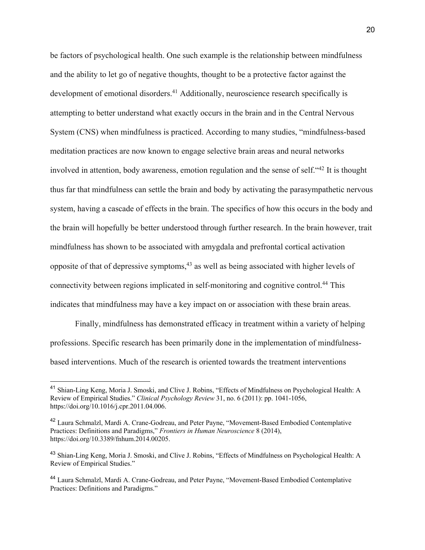be factors of psychological health. One such example is the relationship between mindfulness and the ability to let go of negative thoughts, thought to be a protective factor against the development of emotional disorders.<sup>41</sup> Additionally, neuroscience research specifically is attempting to better understand what exactly occurs in the brain and in the Central Nervous System (CNS) when mindfulness is practiced. According to many studies, "mindfulness-based meditation practices are now known to engage selective brain areas and neural networks involved in attention, body awareness, emotion regulation and the sense of self."42 It is thought thus far that mindfulness can settle the brain and body by activating the parasympathetic nervous system, having a cascade of effects in the brain. The specifics of how this occurs in the body and the brain will hopefully be better understood through further research. In the brain however, trait mindfulness has shown to be associated with amygdala and prefrontal cortical activation opposite of that of depressive symptoms, $43$  as well as being associated with higher levels of connectivity between regions implicated in self-monitoring and cognitive control.44 This indicates that mindfulness may have a key impact on or association with these brain areas.

Finally, mindfulness has demonstrated efficacy in treatment within a variety of helping professions. Specific research has been primarily done in the implementation of mindfulnessbased interventions. Much of the research is oriented towards the treatment interventions

<sup>&</sup>lt;sup>41</sup> Shian-Ling Keng, Moria J. Smoski, and Clive J. Robins, "Effects of Mindfulness on Psychological Health: A Review of Empirical Studies." *Clinical Psychology Review* 31, no. 6 (2011): pp. 1041-1056, https://doi.org/10.1016/j.cpr.2011.04.006.

<sup>&</sup>lt;sup>42</sup> Laura Schmalzl, Mardi A. Crane-Godreau, and Peter Payne, "Movement-Based Embodied Contemplative Practices: Definitions and Paradigms," *Frontiers in Human Neuroscience* 8 (2014), https://doi.org/10.3389/fnhum.2014.00205.

<sup>&</sup>lt;sup>43</sup> Shian-Ling Keng, Moria J. Smoski, and Clive J. Robins, "Effects of Mindfulness on Psychological Health: A Review of Empirical Studies."

<sup>44</sup> Laura Schmalzl, Mardi A. Crane-Godreau, and Peter Payne, "Movement-Based Embodied Contemplative Practices: Definitions and Paradigms."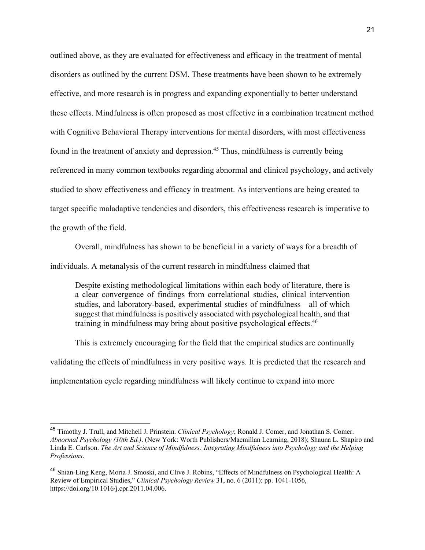outlined above, as they are evaluated for effectiveness and efficacy in the treatment of mental disorders as outlined by the current DSM. These treatments have been shown to be extremely effective, and more research is in progress and expanding exponentially to better understand these effects. Mindfulness is often proposed as most effective in a combination treatment method with Cognitive Behavioral Therapy interventions for mental disorders, with most effectiveness found in the treatment of anxiety and depression.<sup>45</sup> Thus, mindfulness is currently being referenced in many common textbooks regarding abnormal and clinical psychology, and actively studied to show effectiveness and efficacy in treatment. As interventions are being created to target specific maladaptive tendencies and disorders, this effectiveness research is imperative to the growth of the field.

Overall, mindfulness has shown to be beneficial in a variety of ways for a breadth of

individuals. A metanalysis of the current research in mindfulness claimed that

Despite existing methodological limitations within each body of literature, there is a clear convergence of findings from correlational studies, clinical intervention studies, and laboratory-based, experimental studies of mindfulness—all of which suggest that mindfulness is positively associated with psychological health, and that training in mindfulness may bring about positive psychological effects.<sup>46</sup>

This is extremely encouraging for the field that the empirical studies are continually validating the effects of mindfulness in very positive ways. It is predicted that the research and implementation cycle regarding mindfulness will likely continue to expand into more

<sup>45</sup> Timothy J. Trull, and Mitchell J. Prinstein. *Clinical Psychology*; Ronald J. Comer, and Jonathan S. Comer. *Abnormal Psychology (10th Ed.)*. (New York: Worth Publishers/Macmillan Learning, 2018); Shauna L. Shapiro and Linda E. Carlson. *The Art and Science of Mindfulness: Integrating Mindfulness into Psychology and the Helping Professions*.

<sup>46</sup> Shian-Ling Keng, Moria J. Smoski, and Clive J. Robins, "Effects of Mindfulness on Psychological Health: A Review of Empirical Studies," *Clinical Psychology Review* 31, no. 6 (2011): pp. 1041-1056, https://doi.org/10.1016/j.cpr.2011.04.006.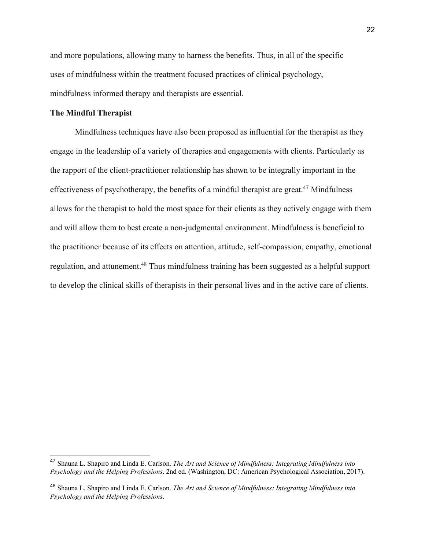and more populations, allowing many to harness the benefits. Thus, in all of the specific uses of mindfulness within the treatment focused practices of clinical psychology, mindfulness informed therapy and therapists are essential.

## **The Mindful Therapist**

Mindfulness techniques have also been proposed as influential for the therapist as they engage in the leadership of a variety of therapies and engagements with clients. Particularly as the rapport of the client-practitioner relationship has shown to be integrally important in the effectiveness of psychotherapy, the benefits of a mindful therapist are great.<sup>47</sup> Mindfulness allows for the therapist to hold the most space for their clients as they actively engage with them and will allow them to best create a non-judgmental environment. Mindfulness is beneficial to the practitioner because of its effects on attention, attitude, self-compassion, empathy, emotional regulation, and attunement.<sup>48</sup> Thus mindfulness training has been suggested as a helpful support to develop the clinical skills of therapists in their personal lives and in the active care of clients.

<sup>47</sup> Shauna L. Shapiro and Linda E. Carlson. *The Art and Science of Mindfulness: Integrating Mindfulness into Psychology and the Helping Professions*. 2nd ed. (Washington, DC: American Psychological Association, 2017).

<sup>48</sup> Shauna L. Shapiro and Linda E. Carlson. *The Art and Science of Mindfulness: Integrating Mindfulness into Psychology and the Helping Professions*.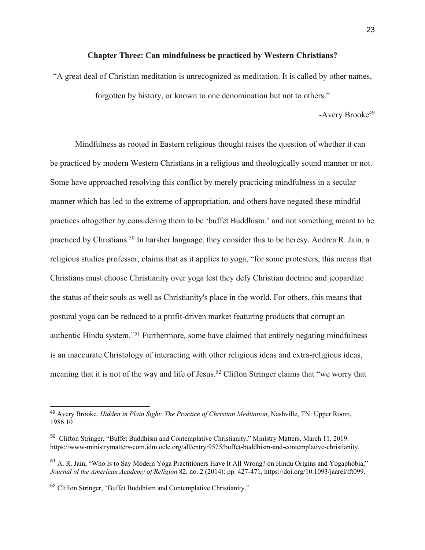#### **Chapter Three: Can mindfulness be practiced by Western Christians?**

"A great deal of Christian meditation is unrecognized as meditation. It is called by other names, forgotten by history, or known to one denomination but not to others."

-Avery Brooke<sup>49</sup>

Mindfulness as rooted in Eastern religious thought raises the question of whether it can be practiced by modern Western Christians in a religious and theologically sound manner or not. Some have approached resolving this conflict by merely practicing mindfulness in a secular manner which has led to the extreme of appropriation, and others have negated these mindful practices altogether by considering them to be 'buffet Buddhism.' and not something meant to be practiced by Christians.<sup>50</sup> In harsher language, they consider this to be heresy. Andrea R. Jain, a religious studies professor, claims that as it applies to yoga, "for some protesters, this means that Christians must choose Christianity over yoga lest they defy Christian doctrine and jeopardize the status of their souls as well as Christianity's place in the world. For others, this means that postural yoga can be reduced to a profit-driven market featuring products that corrupt an authentic Hindu system."51 Furthermore, some have claimed that entirely negating mindfulness is an inaccurate Christology of interacting with other religious ideas and extra-religious ideas, meaning that it is not of the way and life of Jesus.<sup>52</sup> Clifton Stringer claims that "we worry that

<sup>49</sup> Avery Brooke. *Hidden in Plain Sight: The Practice of Christian Meditation*, Nashville, TN: Upper Room, 1986.10

<sup>50</sup> Clifton Stringer, "Buffet Buddhism and Contemplative Christianity," Ministry Matters, March 11, 2019. https://www-ministrymatters-com.idm.oclc.org/all/entry/9525/buffet-buddhism-and-contemplative-christianity.

<sup>51</sup> A. R. Jain, "Who Is to Say Modern Yoga Practitioners Have It All Wrong? on Hindu Origins and Yogaphobia," *Journal of the American Academy of Religion* 82, no. 2 (2014): pp. 427-471, https://doi.org/10.1093/jaarel/lft099.

<sup>52</sup> Clifton Stringer, "Buffet Buddhism and Contemplative Christianity."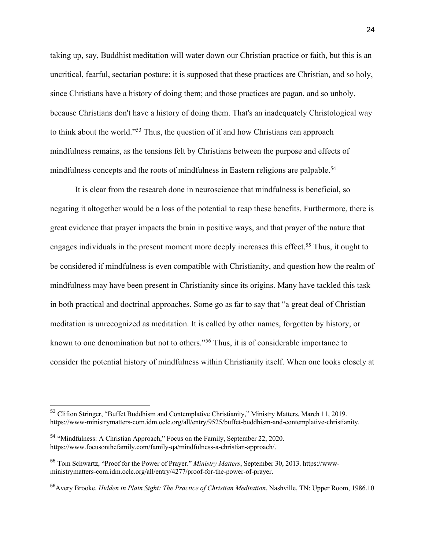taking up, say, Buddhist meditation will water down our Christian practice or faith, but this is an uncritical, fearful, sectarian posture: it is supposed that these practices are Christian, and so holy, since Christians have a history of doing them; and those practices are pagan, and so unholy, because Christians don't have a history of doing them. That's an inadequately Christological way to think about the world."53 Thus, the question of if and how Christians can approach mindfulness remains, as the tensions felt by Christians between the purpose and effects of mindfulness concepts and the roots of mindfulness in Eastern religions are palpable.<sup>54</sup>

It is clear from the research done in neuroscience that mindfulness is beneficial, so negating it altogether would be a loss of the potential to reap these benefits. Furthermore, there is great evidence that prayer impacts the brain in positive ways, and that prayer of the nature that engages individuals in the present moment more deeply increases this effect.<sup>55</sup> Thus, it ought to be considered if mindfulness is even compatible with Christianity, and question how the realm of mindfulness may have been present in Christianity since its origins. Many have tackled this task in both practical and doctrinal approaches. Some go as far to say that "a great deal of Christian meditation is unrecognized as meditation. It is called by other names, forgotten by history, or known to one denomination but not to others."56 Thus, it is of considerable importance to consider the potential history of mindfulness within Christianity itself. When one looks closely at

<sup>53</sup> Clifton Stringer, "Buffet Buddhism and Contemplative Christianity," Ministry Matters, March 11, 2019. https://www-ministrymatters-com.idm.oclc.org/all/entry/9525/buffet-buddhism-and-contemplative-christianity.

<sup>&</sup>lt;sup>54</sup> "Mindfulness: A Christian Approach," Focus on the Family, September 22, 2020. https://www.focusonthefamily.com/family-qa/mindfulness-a-christian-approach/.

<sup>55</sup> Tom Schwartz, "Proof for the Power of Prayer." *Ministry Matters*, September 30, 2013. https://wwwministrymatters-com.idm.oclc.org/all/entry/4277/proof-for-the-power-of-prayer.

<sup>56</sup>Avery Brooke. *Hidden in Plain Sight: The Practice of Christian Meditation*, Nashville, TN: Upper Room, 1986.10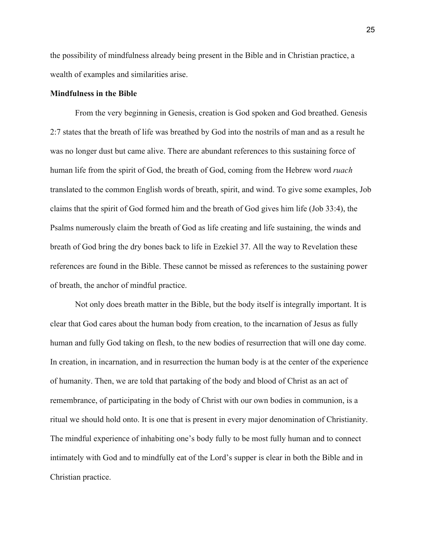the possibility of mindfulness already being present in the Bible and in Christian practice, a wealth of examples and similarities arise.

### **Mindfulness in the Bible**

From the very beginning in Genesis, creation is God spoken and God breathed. Genesis 2:7 states that the breath of life was breathed by God into the nostrils of man and as a result he was no longer dust but came alive. There are abundant references to this sustaining force of human life from the spirit of God, the breath of God, coming from the Hebrew word *ruach*  translated to the common English words of breath, spirit, and wind. To give some examples, Job claims that the spirit of God formed him and the breath of God gives him life (Job 33:4), the Psalms numerously claim the breath of God as life creating and life sustaining, the winds and breath of God bring the dry bones back to life in Ezekiel 37. All the way to Revelation these references are found in the Bible. These cannot be missed as references to the sustaining power of breath, the anchor of mindful practice.

Not only does breath matter in the Bible, but the body itself is integrally important. It is clear that God cares about the human body from creation, to the incarnation of Jesus as fully human and fully God taking on flesh, to the new bodies of resurrection that will one day come. In creation, in incarnation, and in resurrection the human body is at the center of the experience of humanity. Then, we are told that partaking of the body and blood of Christ as an act of remembrance, of participating in the body of Christ with our own bodies in communion, is a ritual we should hold onto. It is one that is present in every major denomination of Christianity. The mindful experience of inhabiting one's body fully to be most fully human and to connect intimately with God and to mindfully eat of the Lord's supper is clear in both the Bible and in Christian practice.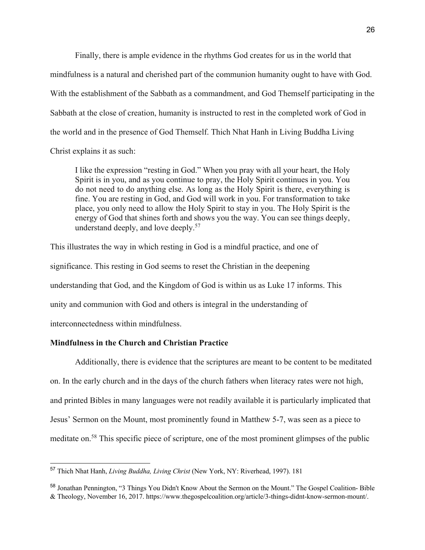Finally, there is ample evidence in the rhythms God creates for us in the world that mindfulness is a natural and cherished part of the communion humanity ought to have with God. With the establishment of the Sabbath as a commandment, and God Themself participating in the Sabbath at the close of creation, humanity is instructed to rest in the completed work of God in the world and in the presence of God Themself. Thich Nhat Hanh in Living Buddha Living Christ explains it as such:

I like the expression "resting in God." When you pray with all your heart, the Holy Spirit is in you, and as you continue to pray, the Holy Spirit continues in you. You do not need to do anything else. As long as the Holy Spirit is there, everything is fine. You are resting in God, and God will work in you. For transformation to take place, you only need to allow the Holy Spirit to stay in you. The Holy Spirit is the energy of God that shines forth and shows you the way. You can see things deeply, understand deeply, and love deeply.57

This illustrates the way in which resting in God is a mindful practice, and one of significance. This resting in God seems to reset the Christian in the deepening understanding that God, and the Kingdom of God is within us as Luke 17 informs. This unity and communion with God and others is integral in the understanding of interconnectedness within mindfulness.

## **Mindfulness in the Church and Christian Practice**

Additionally, there is evidence that the scriptures are meant to be content to be meditated on. In the early church and in the days of the church fathers when literacy rates were not high, and printed Bibles in many languages were not readily available it is particularly implicated that Jesus' Sermon on the Mount, most prominently found in Matthew 5-7, was seen as a piece to meditate on.58 This specific piece of scripture, one of the most prominent glimpses of the public

<sup>57</sup> Thich Nhat Hanh, *Living Buddha, Living Christ* (New York, NY: Riverhead, 1997). 181

<sup>58</sup> Jonathan Pennington, "3 Things You Didn't Know About the Sermon on the Mount." The Gospel Coalition- Bible & Theology, November 16, 2017. https://www.thegospelcoalition.org/article/3-things-didnt-know-sermon-mount/.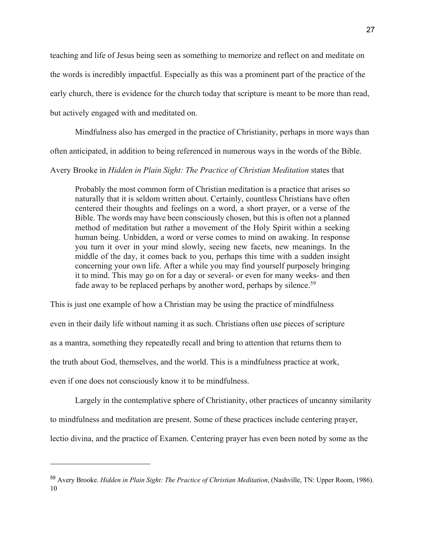teaching and life of Jesus being seen as something to memorize and reflect on and meditate on the words is incredibly impactful. Especially as this was a prominent part of the practice of the early church, there is evidence for the church today that scripture is meant to be more than read, but actively engaged with and meditated on.

Mindfulness also has emerged in the practice of Christianity, perhaps in more ways than often anticipated, in addition to being referenced in numerous ways in the words of the Bible.

## Avery Brooke in *Hidden in Plain Sight: The Practice of Christian Meditation* states that

Probably the most common form of Christian meditation is a practice that arises so naturally that it is seldom written about. Certainly, countless Christians have often centered their thoughts and feelings on a word, a short prayer, or a verse of the Bible. The words may have been consciously chosen, but this is often not a planned method of meditation but rather a movement of the Holy Spirit within a seeking human being. Unbidden, a word or verse comes to mind on awaking. In response you turn it over in your mind slowly, seeing new facets, new meanings. In the middle of the day, it comes back to you, perhaps this time with a sudden insight concerning your own life. After a while you may find yourself purposely bringing it to mind. This may go on for a day or several- or even for many weeks- and then fade away to be replaced perhaps by another word, perhaps by silence.<sup>59</sup>

This is just one example of how a Christian may be using the practice of mindfulness even in their daily life without naming it as such. Christians often use pieces of scripture as a mantra, something they repeatedly recall and bring to attention that returns them to the truth about God, themselves, and the world. This is a mindfulness practice at work, even if one does not consciously know it to be mindfulness.

Largely in the contemplative sphere of Christianity, other practices of uncanny similarity to mindfulness and meditation are present. Some of these practices include centering prayer, lectio divina, and the practice of Examen. Centering prayer has even been noted by some as the

<sup>59</sup> Avery Brooke. *Hidden in Plain Sight: The Practice of Christian Meditation*, (Nashville, TN: Upper Room, 1986). 10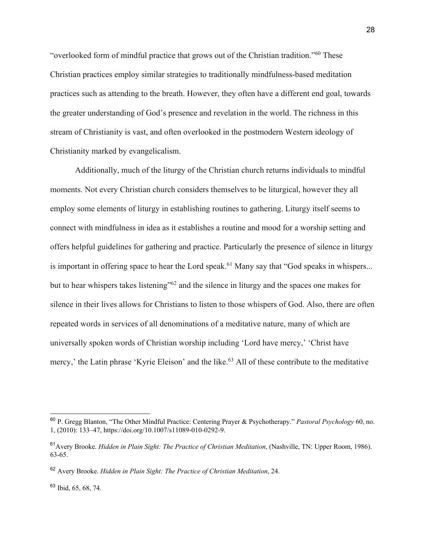"overlooked form of mindful practice that grows out of the Christian tradition."60 These Christian practices employ similar strategies to traditionally mindfulness-based meditation practices such as attending to the breath. However, they often have a different end goal, towards the greater understanding of God's presence and revelation in the world. The richness in this stream of Christianity is vast, and often overlooked in the postmodern Western ideology of Christianity marked by evangelicalism.

Additionally, much of the liturgy of the Christian church returns individuals to mindful moments. Not every Christian church considers themselves to be liturgical, however they all employ some elements of liturgy in establishing routines to gathering. Liturgy itself seems to connect with mindfulness in idea as it establishes a routine and mood for a worship setting and offers helpful guidelines for gathering and practice. Particularly the presence of silence in liturgy is important in offering space to hear the Lord speak.<sup>61</sup> Many say that "God speaks in whispers... but to hear whispers takes listening"62 and the silence in liturgy and the spaces one makes for silence in their lives allows for Christians to listen to those whispers of God. Also, there are often repeated words in services of all denominations of a meditative nature, many of which are universally spoken words of Christian worship including 'Lord have mercy,' 'Christ have mercy,' the Latin phrase 'Kyrie Eleison' and the like.<sup>63</sup> All of these contribute to the meditative

<sup>60</sup> P. Gregg Blanton, "The Other Mindful Practice: Centering Prayer & Psychotherapy." *Pastoral Psychology* 60, no. 1, (2010): 133–47, https://doi.org/10.1007/s11089-010-0292-9.

<sup>61</sup>Avery Brooke. *Hidden in Plain Sight: The Practice of Christian Meditation*, (Nashville, TN: Upper Room, 1986). 63-65.

<sup>62</sup> Avery Brooke. *Hidden in Plain Sight: The Practice of Christian Meditation*, 24.

<sup>63</sup> Ibid, 65, 68, 74.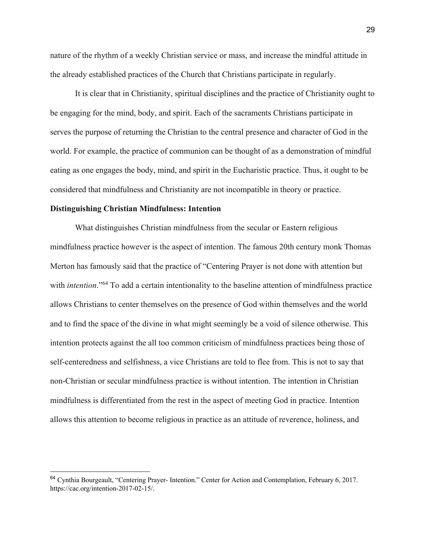nature of the rhythm of a weekly Christian service or mass, and increase the mindful attitude in the already established practices of the Church that Christians participate in regularly.

It is clear that in Christianity, spiritual disciplines and the practice of Christianity ought to be engaging for the mind, body, and spirit. Each of the sacraments Christians participate in serves the purpose of returning the Christian to the central presence and character of God in the world. For example, the practice of communion can be thought of as a demonstration of mindful eating as one engages the body, mind, and spirit in the Eucharistic practice. Thus, it ought to be considered that mindfulness and Christianity are not incompatible in theory or practice.

### **Distinguishing Christian Mindfulness: Intention**

What distinguishes Christian mindfulness from the secular or Eastern religious mindfulness practice however is the aspect of intention. The famous 20th century monk Thomas Merton has famously said that the practice of "Centering Prayer is not done with attention but with *intention*."<sup>64</sup> To add a certain intentionality to the baseline attention of mindfulness practice allows Christians to center themselves on the presence of God within themselves and the world and to find the space of the divine in what might seemingly be a void of silence otherwise. This intention protects against the all too common criticism of mindfulness practices being those of self-centeredness and selfishness, a vice Christians are told to flee from. This is not to say that non-Christian or secular mindfulness practice is without intention. The intention in Christian mindfulness is differentiated from the rest in the aspect of meeting God in practice. Intention allows this attention to become religious in practice as an attitude of reverence, holiness, and

<sup>64</sup> Cynthia Bourgeault, "Centering Prayer- Intention." Center for Action and Contemplation, February 6, 2017. https://cac.org/intention-2017-02-15/.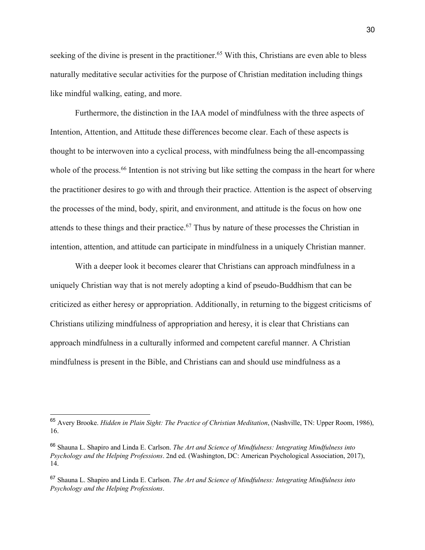seeking of the divine is present in the practitioner.<sup>65</sup> With this, Christians are even able to bless naturally meditative secular activities for the purpose of Christian meditation including things like mindful walking, eating, and more.

Furthermore, the distinction in the IAA model of mindfulness with the three aspects of Intention, Attention, and Attitude these differences become clear. Each of these aspects is thought to be interwoven into a cyclical process, with mindfulness being the all-encompassing whole of the process.<sup>66</sup> Intention is not striving but like setting the compass in the heart for where the practitioner desires to go with and through their practice. Attention is the aspect of observing the processes of the mind, body, spirit, and environment, and attitude is the focus on how one attends to these things and their practice.67 Thus by nature of these processes the Christian in intention, attention, and attitude can participate in mindfulness in a uniquely Christian manner.

With a deeper look it becomes clearer that Christians can approach mindfulness in a uniquely Christian way that is not merely adopting a kind of pseudo-Buddhism that can be criticized as either heresy or appropriation. Additionally, in returning to the biggest criticisms of Christians utilizing mindfulness of appropriation and heresy, it is clear that Christians can approach mindfulness in a culturally informed and competent careful manner. A Christian mindfulness is present in the Bible, and Christians can and should use mindfulness as a

<sup>65</sup> Avery Brooke. *Hidden in Plain Sight: The Practice of Christian Meditation*, (Nashville, TN: Upper Room, 1986), 16.

<sup>66</sup> Shauna L. Shapiro and Linda E. Carlson. *The Art and Science of Mindfulness: Integrating Mindfulness into Psychology and the Helping Professions*. 2nd ed. (Washington, DC: American Psychological Association, 2017), 14.

<sup>67</sup> Shauna L. Shapiro and Linda E. Carlson. *The Art and Science of Mindfulness: Integrating Mindfulness into Psychology and the Helping Professions*.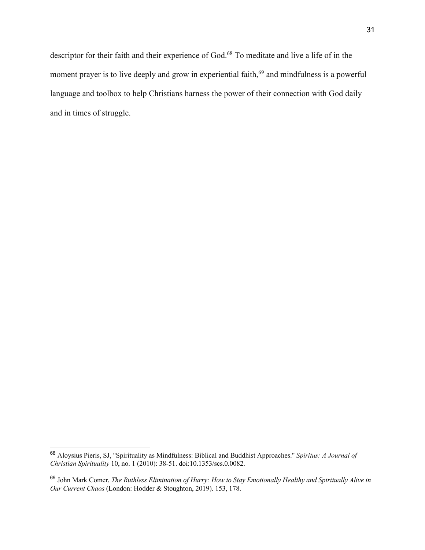descriptor for their faith and their experience of God.68 To meditate and live a life of in the moment prayer is to live deeply and grow in experiential faith,<sup>69</sup> and mindfulness is a powerful language and toolbox to help Christians harness the power of their connection with God daily and in times of struggle.

<sup>68</sup> Aloysius Pieris, SJ, "Spirituality as Mindfulness: Biblical and Buddhist Approaches." *Spiritus: A Journal of Christian Spirituality* 10, no. 1 (2010): 38-51. doi:10.1353/scs.0.0082.

<sup>69</sup> John Mark Comer, *The Ruthless Elimination of Hurry: How to Stay Emotionally Healthy and Spiritually Alive in Our Current Chaos* (London: Hodder & Stoughton, 2019). 153, 178.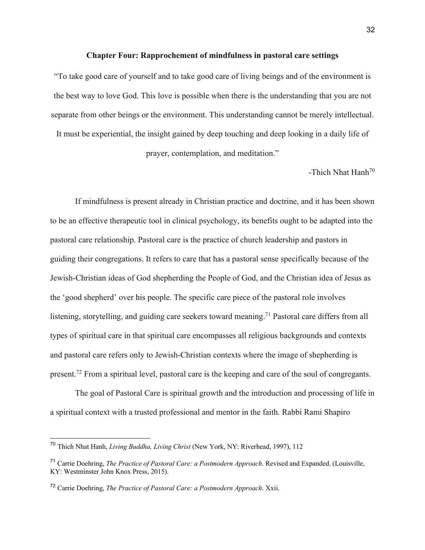#### **Chapter Four: Rapprochement of mindfulness in pastoral care settings**

"To take good care of yourself and to take good care of living beings and of the environment is the best way to love God. This love is possible when there is the understanding that you are not separate from other beings or the environment. This understanding cannot be merely intellectual.

It must be experiential, the insight gained by deep touching and deep looking in a daily life of

prayer, contemplation, and meditation."

-Thich Nhat Hanh<sup>70</sup>

If mindfulness is present already in Christian practice and doctrine, and it has been shown to be an effective therapeutic tool in clinical psychology, its benefits ought to be adapted into the pastoral care relationship. Pastoral care is the practice of church leadership and pastors in guiding their congregations. It refers to care that has a pastoral sense specifically because of the Jewish-Christian ideas of God shepherding the People of God, and the Christian idea of Jesus as the 'good shepherd' over his people. The specific care piece of the pastoral role involves listening, storytelling, and guiding care seekers toward meaning.<sup>71</sup> Pastoral care differs from all types of spiritual care in that spiritual care encompasses all religious backgrounds and contexts and pastoral care refers only to Jewish-Christian contexts where the image of shepherding is present.72 From a spiritual level, pastoral care is the keeping and care of the soul of congregants.

The goal of Pastoral Care is spiritual growth and the introduction and processing of life in a spiritual context with a trusted professional and mentor in the faith. Rabbi Rami Shapiro

<sup>70</sup> Thich Nhat Hanh, *Living Buddha, Living Christ* (New York, NY: Riverhead, 1997), 112

<sup>71</sup> Carrie Doehring, *The Practice of Pastoral Care: a Postmodern Approach*. Revised and Expanded. (Louisville, KY: Westminster John Knox Press, 2015).

<sup>72</sup> Carrie Doehring, *The Practice of Pastoral Care: a Postmodern Approach*. Xxii.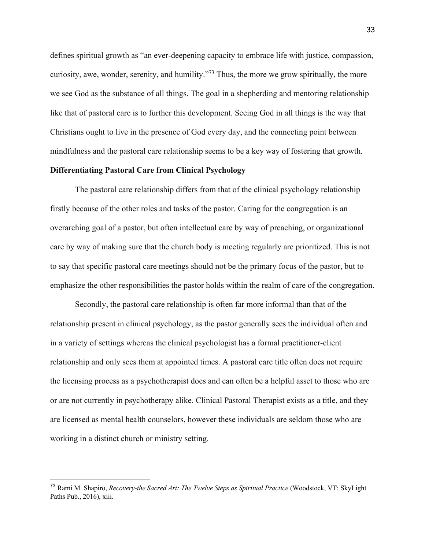defines spiritual growth as "an ever-deepening capacity to embrace life with justice, compassion, curiosity, awe, wonder, serenity, and humility."73 Thus, the more we grow spiritually, the more we see God as the substance of all things. The goal in a shepherding and mentoring relationship like that of pastoral care is to further this development. Seeing God in all things is the way that Christians ought to live in the presence of God every day, and the connecting point between mindfulness and the pastoral care relationship seems to be a key way of fostering that growth.

#### **Differentiating Pastoral Care from Clinical Psychology**

The pastoral care relationship differs from that of the clinical psychology relationship firstly because of the other roles and tasks of the pastor. Caring for the congregation is an overarching goal of a pastor, but often intellectual care by way of preaching, or organizational care by way of making sure that the church body is meeting regularly are prioritized. This is not to say that specific pastoral care meetings should not be the primary focus of the pastor, but to emphasize the other responsibilities the pastor holds within the realm of care of the congregation.

Secondly, the pastoral care relationship is often far more informal than that of the relationship present in clinical psychology, as the pastor generally sees the individual often and in a variety of settings whereas the clinical psychologist has a formal practitioner-client relationship and only sees them at appointed times. A pastoral care title often does not require the licensing process as a psychotherapist does and can often be a helpful asset to those who are or are not currently in psychotherapy alike. Clinical Pastoral Therapist exists as a title, and they are licensed as mental health counselors, however these individuals are seldom those who are working in a distinct church or ministry setting.

<sup>73</sup> Rami M. Shapiro, *Recovery-the Sacred Art: The Twelve Steps as Spiritual Practice* (Woodstock, VT: SkyLight Paths Pub., 2016), xiii.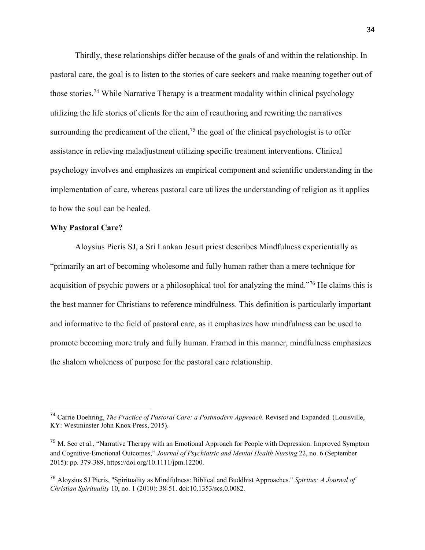Thirdly, these relationships differ because of the goals of and within the relationship. In pastoral care, the goal is to listen to the stories of care seekers and make meaning together out of those stories.74 While Narrative Therapy is a treatment modality within clinical psychology utilizing the life stories of clients for the aim of reauthoring and rewriting the narratives surrounding the predicament of the client,<sup>75</sup> the goal of the clinical psychologist is to offer assistance in relieving maladjustment utilizing specific treatment interventions. Clinical psychology involves and emphasizes an empirical component and scientific understanding in the implementation of care, whereas pastoral care utilizes the understanding of religion as it applies to how the soul can be healed.

## **Why Pastoral Care?**

Aloysius Pieris SJ, a Sri Lankan Jesuit priest describes Mindfulness experientially as "primarily an art of becoming wholesome and fully human rather than a mere technique for acquisition of psychic powers or a philosophical tool for analyzing the mind."76 He claims this is the best manner for Christians to reference mindfulness. This definition is particularly important and informative to the field of pastoral care, as it emphasizes how mindfulness can be used to promote becoming more truly and fully human. Framed in this manner, mindfulness emphasizes the shalom wholeness of purpose for the pastoral care relationship.

<sup>74</sup> Carrie Doehring, *The Practice of Pastoral Care: a Postmodern Approach*. Revised and Expanded. (Louisville, KY: Westminster John Knox Press, 2015).

<sup>&</sup>lt;sup>75</sup> M. Seo et al., "Narrative Therapy with an Emotional Approach for People with Depression: Improved Symptom and Cognitive-Emotional Outcomes," *Journal of Psychiatric and Mental Health Nursing* 22, no. 6 (September 2015): pp. 379-389, https://doi.org/10.1111/jpm.12200.

<sup>76</sup> Aloysius SJ Pieris, "Spirituality as Mindfulness: Biblical and Buddhist Approaches." *Spiritus: A Journal of Christian Spirituality* 10, no. 1 (2010): 38-51. doi:10.1353/scs.0.0082.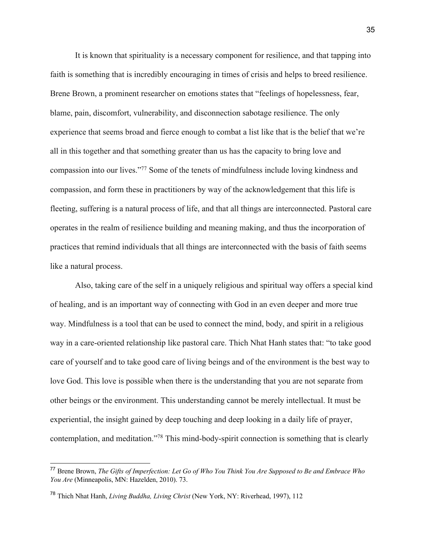It is known that spirituality is a necessary component for resilience, and that tapping into faith is something that is incredibly encouraging in times of crisis and helps to breed resilience. Brene Brown, a prominent researcher on emotions states that "feelings of hopelessness, fear, blame, pain, discomfort, vulnerability, and disconnection sabotage resilience. The only experience that seems broad and fierce enough to combat a list like that is the belief that we're all in this together and that something greater than us has the capacity to bring love and compassion into our lives."77 Some of the tenets of mindfulness include loving kindness and compassion, and form these in practitioners by way of the acknowledgement that this life is fleeting, suffering is a natural process of life, and that all things are interconnected. Pastoral care operates in the realm of resilience building and meaning making, and thus the incorporation of practices that remind individuals that all things are interconnected with the basis of faith seems like a natural process.

Also, taking care of the self in a uniquely religious and spiritual way offers a special kind of healing, and is an important way of connecting with God in an even deeper and more true way. Mindfulness is a tool that can be used to connect the mind, body, and spirit in a religious way in a care-oriented relationship like pastoral care. Thich Nhat Hanh states that: "to take good care of yourself and to take good care of living beings and of the environment is the best way to love God. This love is possible when there is the understanding that you are not separate from other beings or the environment. This understanding cannot be merely intellectual. It must be experiential, the insight gained by deep touching and deep looking in a daily life of prayer, contemplation, and meditation."78 This mind-body-spirit connection is something that is clearly

<sup>77</sup> Brene Brown, *The Gifts of Imperfection: Let Go of Who You Think You Are Supposed to Be and Embrace Who You Are* (Minneapolis, MN: Hazelden, 2010). 73.

<sup>78</sup> Thich Nhat Hanh, *Living Buddha, Living Christ* (New York, NY: Riverhead, 1997), 112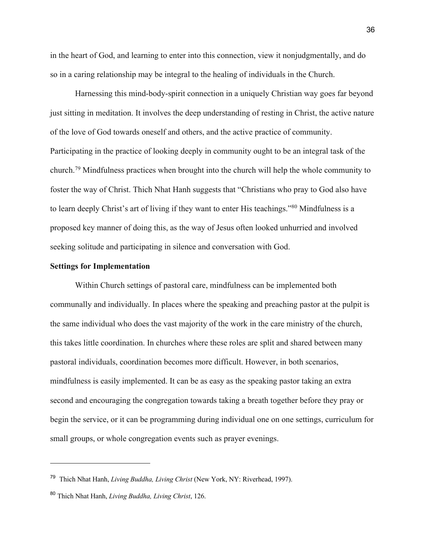in the heart of God, and learning to enter into this connection, view it nonjudgmentally, and do so in a caring relationship may be integral to the healing of individuals in the Church.

Harnessing this mind-body-spirit connection in a uniquely Christian way goes far beyond just sitting in meditation. It involves the deep understanding of resting in Christ, the active nature of the love of God towards oneself and others, and the active practice of community. Participating in the practice of looking deeply in community ought to be an integral task of the church.79 Mindfulness practices when brought into the church will help the whole community to foster the way of Christ. Thich Nhat Hanh suggests that "Christians who pray to God also have to learn deeply Christ's art of living if they want to enter His teachings."80 Mindfulness is a proposed key manner of doing this, as the way of Jesus often looked unhurried and involved seeking solitude and participating in silence and conversation with God.

#### **Settings for Implementation**

Within Church settings of pastoral care, mindfulness can be implemented both communally and individually. In places where the speaking and preaching pastor at the pulpit is the same individual who does the vast majority of the work in the care ministry of the church, this takes little coordination. In churches where these roles are split and shared between many pastoral individuals, coordination becomes more difficult. However, in both scenarios, mindfulness is easily implemented. It can be as easy as the speaking pastor taking an extra second and encouraging the congregation towards taking a breath together before they pray or begin the service, or it can be programming during individual one on one settings, curriculum for small groups, or whole congregation events such as prayer evenings.

<sup>79</sup> Thich Nhat Hanh, *Living Buddha, Living Christ* (New York, NY: Riverhead, 1997).

<sup>80</sup> Thich Nhat Hanh, *Living Buddha, Living Christ*, 126.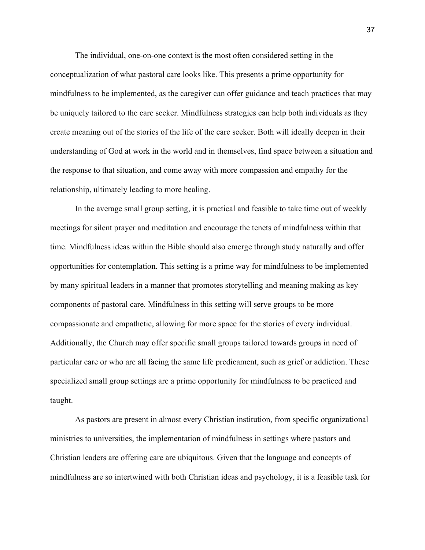The individual, one-on-one context is the most often considered setting in the conceptualization of what pastoral care looks like. This presents a prime opportunity for mindfulness to be implemented, as the caregiver can offer guidance and teach practices that may be uniquely tailored to the care seeker. Mindfulness strategies can help both individuals as they create meaning out of the stories of the life of the care seeker. Both will ideally deepen in their understanding of God at work in the world and in themselves, find space between a situation and the response to that situation, and come away with more compassion and empathy for the relationship, ultimately leading to more healing.

In the average small group setting, it is practical and feasible to take time out of weekly meetings for silent prayer and meditation and encourage the tenets of mindfulness within that time. Mindfulness ideas within the Bible should also emerge through study naturally and offer opportunities for contemplation. This setting is a prime way for mindfulness to be implemented by many spiritual leaders in a manner that promotes storytelling and meaning making as key components of pastoral care. Mindfulness in this setting will serve groups to be more compassionate and empathetic, allowing for more space for the stories of every individual. Additionally, the Church may offer specific small groups tailored towards groups in need of particular care or who are all facing the same life predicament, such as grief or addiction. These specialized small group settings are a prime opportunity for mindfulness to be practiced and taught.

As pastors are present in almost every Christian institution, from specific organizational ministries to universities, the implementation of mindfulness in settings where pastors and Christian leaders are offering care are ubiquitous. Given that the language and concepts of mindfulness are so intertwined with both Christian ideas and psychology, it is a feasible task for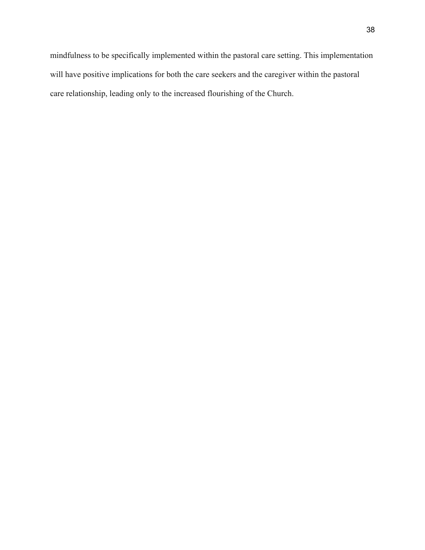care relationship, leading only to the increased flourishing of the Church.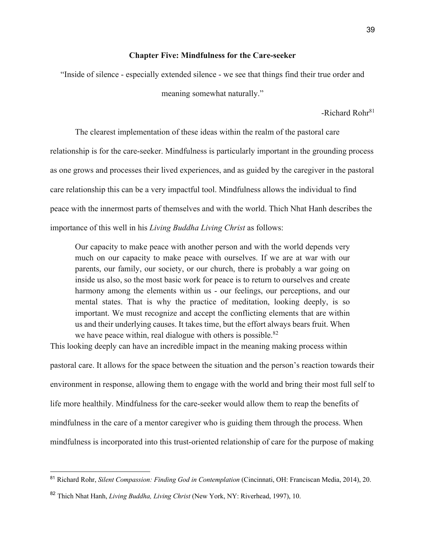## **Chapter Five: Mindfulness for the Care-seeker**

"Inside of silence - especially extended silence - we see that things find their true order and

meaning somewhat naturally."

 $-Richard Rohr<sup>81</sup>$ 

The clearest implementation of these ideas within the realm of the pastoral care relationship is for the care-seeker. Mindfulness is particularly important in the grounding process as one grows and processes their lived experiences, and as guided by the caregiver in the pastoral care relationship this can be a very impactful tool. Mindfulness allows the individual to find peace with the innermost parts of themselves and with the world. Thich Nhat Hanh describes the importance of this well in his *Living Buddha Living Christ* as follows:

Our capacity to make peace with another person and with the world depends very much on our capacity to make peace with ourselves. If we are at war with our parents, our family, our society, or our church, there is probably a war going on inside us also, so the most basic work for peace is to return to ourselves and create harmony among the elements within us - our feelings, our perceptions, and our mental states. That is why the practice of meditation, looking deeply, is so important. We must recognize and accept the conflicting elements that are within us and their underlying causes. It takes time, but the effort always bears fruit. When we have peace within, real dialogue with others is possible. $82$ 

This looking deeply can have an incredible impact in the meaning making process within pastoral care. It allows for the space between the situation and the person's reaction towards their environment in response, allowing them to engage with the world and bring their most full self to life more healthily. Mindfulness for the care-seeker would allow them to reap the benefits of mindfulness in the care of a mentor caregiver who is guiding them through the process. When mindfulness is incorporated into this trust-oriented relationship of care for the purpose of making

<sup>81</sup> Richard Rohr, *Silent Compassion: Finding God in Contemplation* (Cincinnati, OH: Franciscan Media, 2014), 20.

<sup>82</sup> Thich Nhat Hanh, *Living Buddha, Living Christ* (New York, NY: Riverhead, 1997), 10.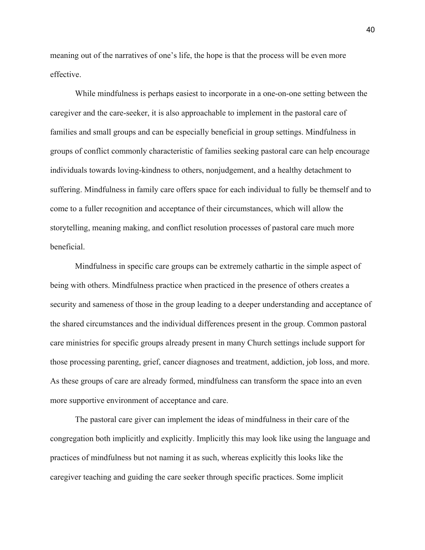meaning out of the narratives of one's life, the hope is that the process will be even more effective.

While mindfulness is perhaps easiest to incorporate in a one-on-one setting between the caregiver and the care-seeker, it is also approachable to implement in the pastoral care of families and small groups and can be especially beneficial in group settings. Mindfulness in groups of conflict commonly characteristic of families seeking pastoral care can help encourage individuals towards loving-kindness to others, nonjudgement, and a healthy detachment to suffering. Mindfulness in family care offers space for each individual to fully be themself and to come to a fuller recognition and acceptance of their circumstances, which will allow the storytelling, meaning making, and conflict resolution processes of pastoral care much more beneficial.

Mindfulness in specific care groups can be extremely cathartic in the simple aspect of being with others. Mindfulness practice when practiced in the presence of others creates a security and sameness of those in the group leading to a deeper understanding and acceptance of the shared circumstances and the individual differences present in the group. Common pastoral care ministries for specific groups already present in many Church settings include support for those processing parenting, grief, cancer diagnoses and treatment, addiction, job loss, and more. As these groups of care are already formed, mindfulness can transform the space into an even more supportive environment of acceptance and care.

The pastoral care giver can implement the ideas of mindfulness in their care of the congregation both implicitly and explicitly. Implicitly this may look like using the language and practices of mindfulness but not naming it as such, whereas explicitly this looks like the caregiver teaching and guiding the care seeker through specific practices. Some implicit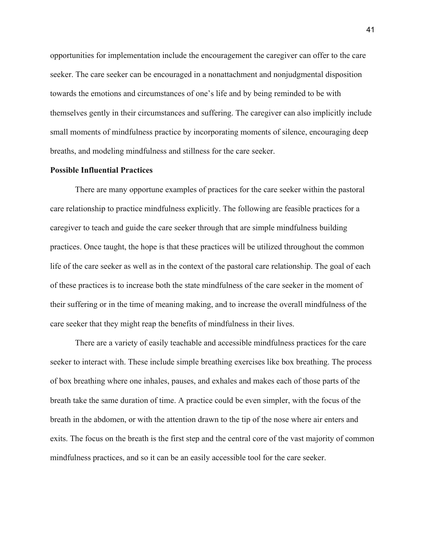opportunities for implementation include the encouragement the caregiver can offer to the care seeker. The care seeker can be encouraged in a nonattachment and nonjudgmental disposition towards the emotions and circumstances of one's life and by being reminded to be with themselves gently in their circumstances and suffering. The caregiver can also implicitly include small moments of mindfulness practice by incorporating moments of silence, encouraging deep breaths, and modeling mindfulness and stillness for the care seeker.

### **Possible Influential Practices**

There are many opportune examples of practices for the care seeker within the pastoral care relationship to practice mindfulness explicitly. The following are feasible practices for a caregiver to teach and guide the care seeker through that are simple mindfulness building practices. Once taught, the hope is that these practices will be utilized throughout the common life of the care seeker as well as in the context of the pastoral care relationship. The goal of each of these practices is to increase both the state mindfulness of the care seeker in the moment of their suffering or in the time of meaning making, and to increase the overall mindfulness of the care seeker that they might reap the benefits of mindfulness in their lives.

There are a variety of easily teachable and accessible mindfulness practices for the care seeker to interact with. These include simple breathing exercises like box breathing. The process of box breathing where one inhales, pauses, and exhales and makes each of those parts of the breath take the same duration of time. A practice could be even simpler, with the focus of the breath in the abdomen, or with the attention drawn to the tip of the nose where air enters and exits. The focus on the breath is the first step and the central core of the vast majority of common mindfulness practices, and so it can be an easily accessible tool for the care seeker.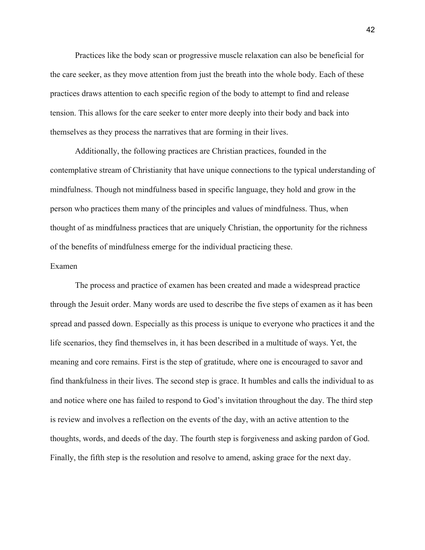Practices like the body scan or progressive muscle relaxation can also be beneficial for the care seeker, as they move attention from just the breath into the whole body. Each of these practices draws attention to each specific region of the body to attempt to find and release tension. This allows for the care seeker to enter more deeply into their body and back into themselves as they process the narratives that are forming in their lives.

Additionally, the following practices are Christian practices, founded in the contemplative stream of Christianity that have unique connections to the typical understanding of mindfulness. Though not mindfulness based in specific language, they hold and grow in the person who practices them many of the principles and values of mindfulness. Thus, when thought of as mindfulness practices that are uniquely Christian, the opportunity for the richness of the benefits of mindfulness emerge for the individual practicing these.

#### Examen

The process and practice of examen has been created and made a widespread practice through the Jesuit order. Many words are used to describe the five steps of examen as it has been spread and passed down. Especially as this process is unique to everyone who practices it and the life scenarios, they find themselves in, it has been described in a multitude of ways. Yet, the meaning and core remains. First is the step of gratitude, where one is encouraged to savor and find thankfulness in their lives. The second step is grace. It humbles and calls the individual to as and notice where one has failed to respond to God's invitation throughout the day. The third step is review and involves a reflection on the events of the day, with an active attention to the thoughts, words, and deeds of the day. The fourth step is forgiveness and asking pardon of God. Finally, the fifth step is the resolution and resolve to amend, asking grace for the next day.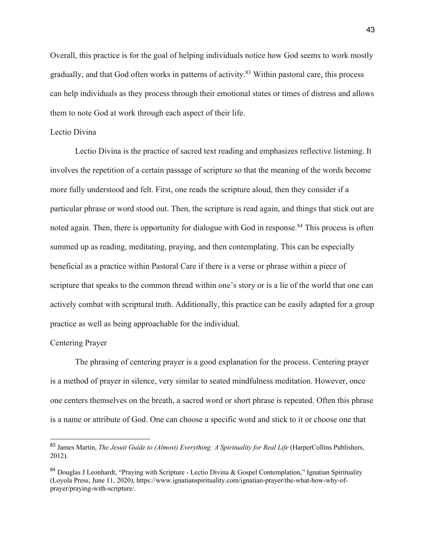Overall, this practice is for the goal of helping individuals notice how God seems to work mostly gradually, and that God often works in patterns of activity.<sup>83</sup> Within pastoral care, this process can help individuals as they process through their emotional states or times of distress and allows them to note God at work through each aspect of their life.

## Lectio Divina

Lectio Divina is the practice of sacred text reading and emphasizes reflective listening. It involves the repetition of a certain passage of scripture so that the meaning of the words become more fully understood and felt. First, one reads the scripture aloud, then they consider if a particular phrase or word stood out. Then, the scripture is read again, and things that stick out are noted again. Then, there is opportunity for dialogue with God in response.<sup>84</sup> This process is often summed up as reading, meditating, praying, and then contemplating. This can be especially beneficial as a practice within Pastoral Care if there is a verse or phrase within a piece of scripture that speaks to the common thread within one's story or is a lie of the world that one can actively combat with scriptural truth. Additionally, this practice can be easily adapted for a group practice as well as being approachable for the individual.

#### Centering Prayer

The phrasing of centering prayer is a good explanation for the process. Centering prayer is a method of prayer in silence, very similar to seated mindfulness meditation. However, once one centers themselves on the breath, a sacred word or short phrase is repeated. Often this phrase is a name or attribute of God. One can choose a specific word and stick to it or choose one that

<sup>83</sup> James Martin, *The Jesuit Guide to (Almost) Everything: A Spirituality for Real Life* (HarperCollins Publishers, 2012).

<sup>&</sup>lt;sup>84</sup> Douglas J Leonhardt, "Praying with Scripture - Lectio Divina & Gospel Contemplation," Ignatian Spirituality (Loyola Press, June 11, 2020), https://www.ignatianspirituality.com/ignatian-prayer/the-what-how-why-ofprayer/praying-with-scripture/.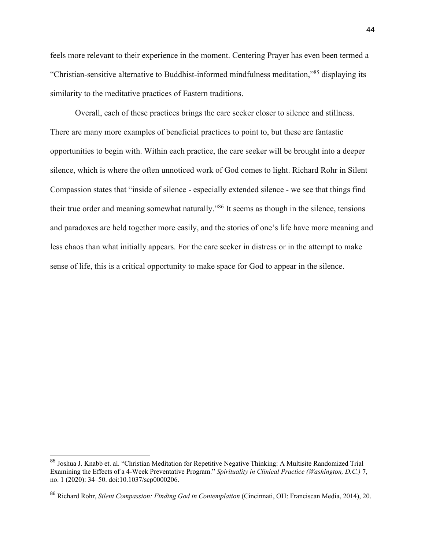feels more relevant to their experience in the moment. Centering Prayer has even been termed a "Christian-sensitive alternative to Buddhist-informed mindfulness meditation,"85 displaying its similarity to the meditative practices of Eastern traditions.

Overall, each of these practices brings the care seeker closer to silence and stillness. There are many more examples of beneficial practices to point to, but these are fantastic opportunities to begin with. Within each practice, the care seeker will be brought into a deeper silence, which is where the often unnoticed work of God comes to light. Richard Rohr in Silent Compassion states that "inside of silence - especially extended silence - we see that things find their true order and meaning somewhat naturally."86 It seems as though in the silence, tensions and paradoxes are held together more easily, and the stories of one's life have more meaning and less chaos than what initially appears. For the care seeker in distress or in the attempt to make sense of life, this is a critical opportunity to make space for God to appear in the silence.

<sup>85</sup> Joshua J. Knabb et. al. "Christian Meditation for Repetitive Negative Thinking: A Multisite Randomized Trial Examining the Effects of a 4-Week Preventative Program." *Spirituality in Clinical Practice (Washington, D.C.)* 7, no. 1 (2020): 34–50. doi:10.1037/scp0000206.

<sup>86</sup> Richard Rohr, *Silent Compassion: Finding God in Contemplation* (Cincinnati, OH: Franciscan Media, 2014), 20.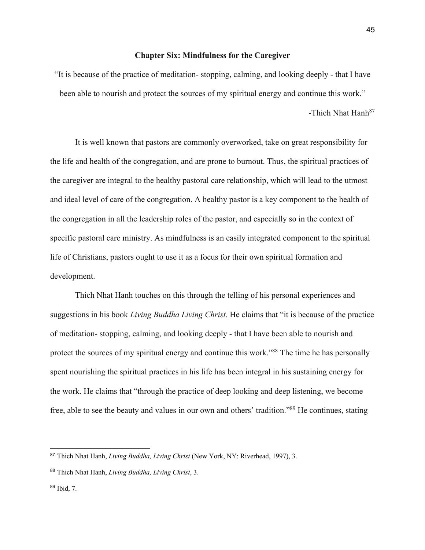## **Chapter Six: Mindfulness for the Caregiver**

"It is because of the practice of meditation- stopping, calming, and looking deeply - that I have been able to nourish and protect the sources of my spiritual energy and continue this work." -Thich Nhat Hanh<sup>87</sup>

It is well known that pastors are commonly overworked, take on great responsibility for the life and health of the congregation, and are prone to burnout. Thus, the spiritual practices of the caregiver are integral to the healthy pastoral care relationship, which will lead to the utmost and ideal level of care of the congregation. A healthy pastor is a key component to the health of the congregation in all the leadership roles of the pastor, and especially so in the context of specific pastoral care ministry. As mindfulness is an easily integrated component to the spiritual life of Christians, pastors ought to use it as a focus for their own spiritual formation and development.

Thich Nhat Hanh touches on this through the telling of his personal experiences and suggestions in his book *Living Buddha Living Christ*. He claims that "it is because of the practice of meditation- stopping, calming, and looking deeply - that I have been able to nourish and protect the sources of my spiritual energy and continue this work."<sup>88</sup> The time he has personally spent nourishing the spiritual practices in his life has been integral in his sustaining energy for the work. He claims that "through the practice of deep looking and deep listening, we become free, able to see the beauty and values in our own and others' tradition."89 He continues, stating

<sup>87</sup> Thich Nhat Hanh, *Living Buddha, Living Christ* (New York, NY: Riverhead, 1997), 3.

<sup>88</sup> Thich Nhat Hanh, *Living Buddha, Living Christ*, 3.

<sup>89</sup> Ibid, 7.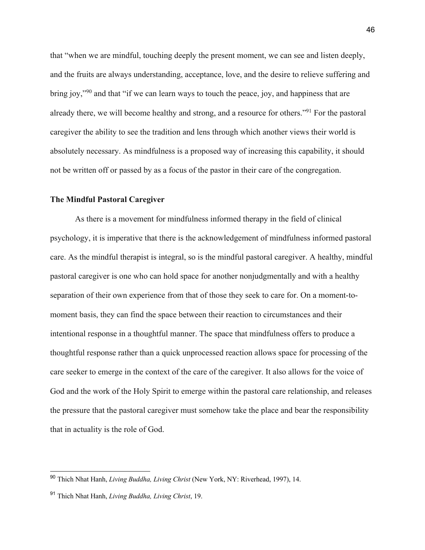that "when we are mindful, touching deeply the present moment, we can see and listen deeply, and the fruits are always understanding, acceptance, love, and the desire to relieve suffering and bring joy,"<sup>90</sup> and that "if we can learn ways to touch the peace, joy, and happiness that are already there, we will become healthy and strong, and a resource for others."91 For the pastoral caregiver the ability to see the tradition and lens through which another views their world is absolutely necessary. As mindfulness is a proposed way of increasing this capability, it should not be written off or passed by as a focus of the pastor in their care of the congregation.

#### **The Mindful Pastoral Caregiver**

As there is a movement for mindfulness informed therapy in the field of clinical psychology, it is imperative that there is the acknowledgement of mindfulness informed pastoral care. As the mindful therapist is integral, so is the mindful pastoral caregiver. A healthy, mindful pastoral caregiver is one who can hold space for another nonjudgmentally and with a healthy separation of their own experience from that of those they seek to care for. On a moment-tomoment basis, they can find the space between their reaction to circumstances and their intentional response in a thoughtful manner. The space that mindfulness offers to produce a thoughtful response rather than a quick unprocessed reaction allows space for processing of the care seeker to emerge in the context of the care of the caregiver. It also allows for the voice of God and the work of the Holy Spirit to emerge within the pastoral care relationship, and releases the pressure that the pastoral caregiver must somehow take the place and bear the responsibility that in actuality is the role of God.

<sup>90</sup> Thich Nhat Hanh, *Living Buddha, Living Christ* (New York, NY: Riverhead, 1997), 14.

<sup>91</sup> Thich Nhat Hanh, *Living Buddha, Living Christ*, 19.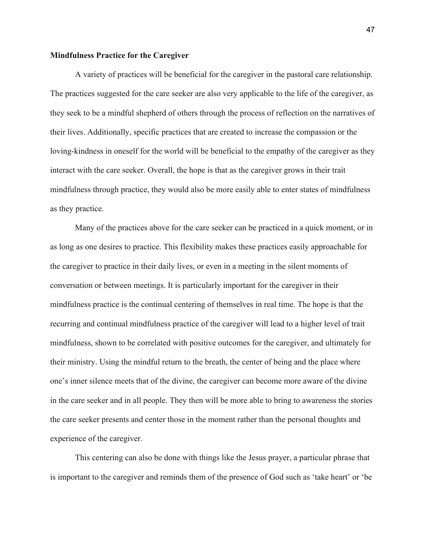## **Mindfulness Practice for the Caregiver**

A variety of practices will be beneficial for the caregiver in the pastoral care relationship. The practices suggested for the care seeker are also very applicable to the life of the caregiver, as they seek to be a mindful shepherd of others through the process of reflection on the narratives of their lives. Additionally, specific practices that are created to increase the compassion or the loving-kindness in oneself for the world will be beneficial to the empathy of the caregiver as they interact with the care seeker. Overall, the hope is that as the caregiver grows in their trait mindfulness through practice, they would also be more easily able to enter states of mindfulness as they practice.

Many of the practices above for the care seeker can be practiced in a quick moment, or in as long as one desires to practice. This flexibility makes these practices easily approachable for the caregiver to practice in their daily lives, or even in a meeting in the silent moments of conversation or between meetings. It is particularly important for the caregiver in their mindfulness practice is the continual centering of themselves in real time. The hope is that the recurring and continual mindfulness practice of the caregiver will lead to a higher level of trait mindfulness, shown to be correlated with positive outcomes for the caregiver, and ultimately for their ministry. Using the mindful return to the breath, the center of being and the place where one's inner silence meets that of the divine, the caregiver can become more aware of the divine in the care seeker and in all people. They then will be more able to bring to awareness the stories the care seeker presents and center those in the moment rather than the personal thoughts and experience of the caregiver.

This centering can also be done with things like the Jesus prayer, a particular phrase that is important to the caregiver and reminds them of the presence of God such as 'take heart' or 'be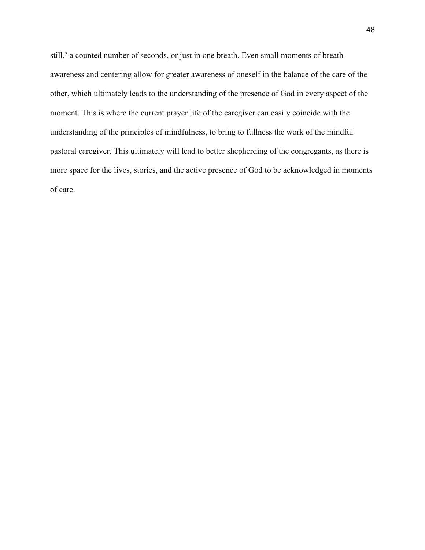still,' a counted number of seconds, or just in one breath. Even small moments of breath awareness and centering allow for greater awareness of oneself in the balance of the care of the other, which ultimately leads to the understanding of the presence of God in every aspect of the moment. This is where the current prayer life of the caregiver can easily coincide with the understanding of the principles of mindfulness, to bring to fullness the work of the mindful pastoral caregiver. This ultimately will lead to better shepherding of the congregants, as there is more space for the lives, stories, and the active presence of God to be acknowledged in moments of care.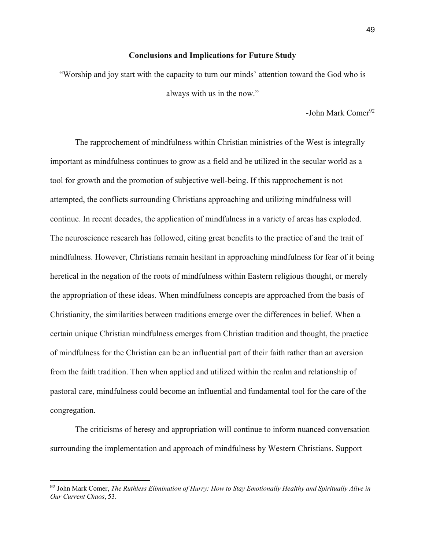#### **Conclusions and Implications for Future Study**

"Worship and joy start with the capacity to turn our minds' attention toward the God who is always with us in the now."

-John Mark Comer<sup>92</sup>

The rapprochement of mindfulness within Christian ministries of the West is integrally important as mindfulness continues to grow as a field and be utilized in the secular world as a tool for growth and the promotion of subjective well-being. If this rapprochement is not attempted, the conflicts surrounding Christians approaching and utilizing mindfulness will continue. In recent decades, the application of mindfulness in a variety of areas has exploded. The neuroscience research has followed, citing great benefits to the practice of and the trait of mindfulness. However, Christians remain hesitant in approaching mindfulness for fear of it being heretical in the negation of the roots of mindfulness within Eastern religious thought, or merely the appropriation of these ideas. When mindfulness concepts are approached from the basis of Christianity, the similarities between traditions emerge over the differences in belief. When a certain unique Christian mindfulness emerges from Christian tradition and thought, the practice of mindfulness for the Christian can be an influential part of their faith rather than an aversion from the faith tradition. Then when applied and utilized within the realm and relationship of pastoral care, mindfulness could become an influential and fundamental tool for the care of the congregation.

The criticisms of heresy and appropriation will continue to inform nuanced conversation surrounding the implementation and approach of mindfulness by Western Christians. Support

<sup>92</sup> John Mark Comer, *The Ruthless Elimination of Hurry: How to Stay Emotionally Healthy and Spiritually Alive in Our Current Chaos*, 53.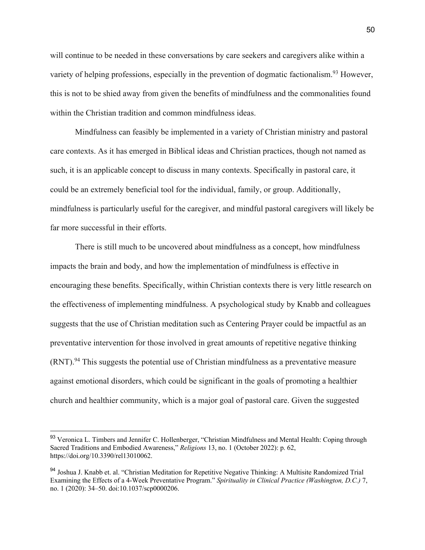will continue to be needed in these conversations by care seekers and caregivers alike within a variety of helping professions, especially in the prevention of dogmatic factionalism.<sup>93</sup> However, this is not to be shied away from given the benefits of mindfulness and the commonalities found within the Christian tradition and common mindfulness ideas.

Mindfulness can feasibly be implemented in a variety of Christian ministry and pastoral care contexts. As it has emerged in Biblical ideas and Christian practices, though not named as such, it is an applicable concept to discuss in many contexts. Specifically in pastoral care, it could be an extremely beneficial tool for the individual, family, or group. Additionally, mindfulness is particularly useful for the caregiver, and mindful pastoral caregivers will likely be far more successful in their efforts.

There is still much to be uncovered about mindfulness as a concept, how mindfulness impacts the brain and body, and how the implementation of mindfulness is effective in encouraging these benefits. Specifically, within Christian contexts there is very little research on the effectiveness of implementing mindfulness. A psychological study by Knabb and colleagues suggests that the use of Christian meditation such as Centering Prayer could be impactful as an preventative intervention for those involved in great amounts of repetitive negative thinking  $(RNT)$ <sup>94</sup> This suggests the potential use of Christian mindfulness as a preventative measure against emotional disorders, which could be significant in the goals of promoting a healthier church and healthier community, which is a major goal of pastoral care. Given the suggested

<sup>93</sup> Veronica L. Timbers and Jennifer C. Hollenberger, "Christian Mindfulness and Mental Health: Coping through Sacred Traditions and Embodied Awareness," *Religions* 13, no. 1 (October 2022): p. 62, https://doi.org/10.3390/rel13010062.

<sup>94</sup> Joshua J. Knabb et. al. "Christian Meditation for Repetitive Negative Thinking: A Multisite Randomized Trial Examining the Effects of a 4-Week Preventative Program." *Spirituality in Clinical Practice (Washington, D.C.)* 7, no. 1 (2020): 34–50. doi:10.1037/scp0000206.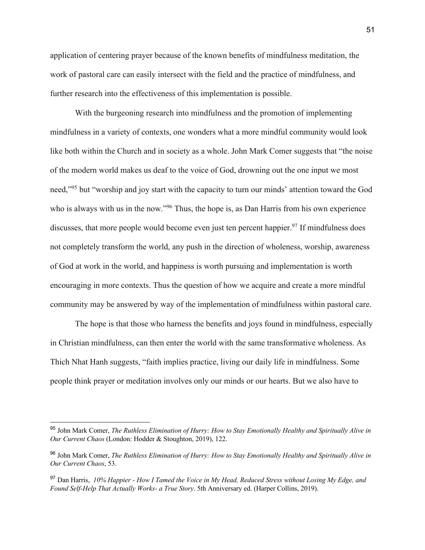application of centering prayer because of the known benefits of mindfulness meditation, the work of pastoral care can easily intersect with the field and the practice of mindfulness, and further research into the effectiveness of this implementation is possible.

With the burgeoning research into mindfulness and the promotion of implementing mindfulness in a variety of contexts, one wonders what a more mindful community would look like both within the Church and in society as a whole. John Mark Comer suggests that "the noise of the modern world makes us deaf to the voice of God, drowning out the one input we most need,"95 but "worship and joy start with the capacity to turn our minds' attention toward the God who is always with us in the now."<sup>96</sup> Thus, the hope is, as Dan Harris from his own experience discusses, that more people would become even just ten percent happier.<sup>97</sup> If mindfulness does not completely transform the world, any push in the direction of wholeness, worship, awareness of God at work in the world, and happiness is worth pursuing and implementation is worth encouraging in more contexts. Thus the question of how we acquire and create a more mindful community may be answered by way of the implementation of mindfulness within pastoral care.

The hope is that those who harness the benefits and joys found in mindfulness, especially in Christian mindfulness, can then enter the world with the same transformative wholeness. As Thich Nhat Hanh suggests, "faith implies practice, living our daily life in mindfulness. Some people think prayer or meditation involves only our minds or our hearts. But we also have to

<sup>95</sup> John Mark Comer, *The Ruthless Elimination of Hurry: How to Stay Emotionally Healthy and Spiritually Alive in Our Current Chaos* (London: Hodder & Stoughton, 2019), 122.

<sup>96</sup> John Mark Comer, *The Ruthless Elimination of Hurry: How to Stay Emotionally Healthy and Spiritually Alive in Our Current Chaos*, 53.

<sup>97</sup> Dan Harris, *10% Happier - How I Tamed the Voice in My Head, Reduced Stress without Losing My Edge, and Found Self-Help That Actually Works- a True Story*. 5th Anniversary ed. (Harper Collins, 2019).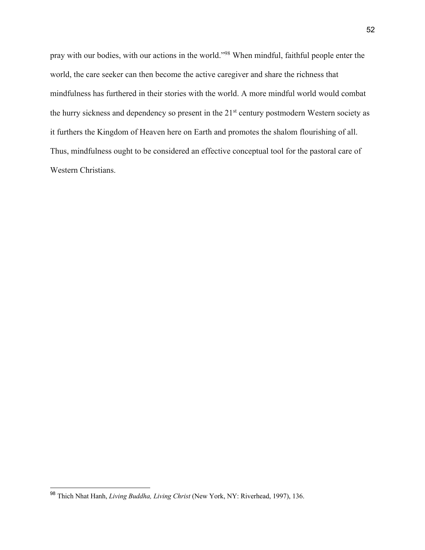pray with our bodies, with our actions in the world."98 When mindful, faithful people enter the world, the care seeker can then become the active caregiver and share the richness that mindfulness has furthered in their stories with the world. A more mindful world would combat the hurry sickness and dependency so present in the 21<sup>st</sup> century postmodern Western society as it furthers the Kingdom of Heaven here on Earth and promotes the shalom flourishing of all. Thus, mindfulness ought to be considered an effective conceptual tool for the pastoral care of Western Christians.

<sup>98</sup> Thich Nhat Hanh, *Living Buddha, Living Christ* (New York, NY: Riverhead, 1997), 136.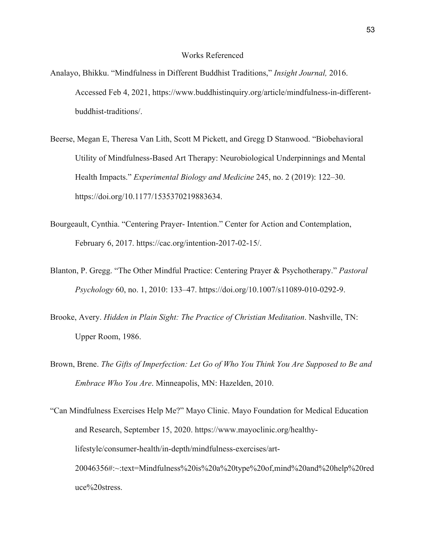## Works Referenced

- Analayo, Bhikku. "Mindfulness in Different Buddhist Traditions," *Insight Journal,* 2016. Accessed Feb 4, 2021, https://www.buddhistinquiry.org/article/mindfulness-in-differentbuddhist-traditions/.
- Beerse, Megan E, Theresa Van Lith, Scott M Pickett, and Gregg D Stanwood. "Biobehavioral Utility of Mindfulness-Based Art Therapy: Neurobiological Underpinnings and Mental Health Impacts." *Experimental Biology and Medicine* 245, no. 2 (2019): 122–30. https://doi.org/10.1177/1535370219883634.
- Bourgeault, Cynthia. "Centering Prayer- Intention." Center for Action and Contemplation, February 6, 2017. https://cac.org/intention-2017-02-15/.
- Blanton, P. Gregg. "The Other Mindful Practice: Centering Prayer & Psychotherapy." *Pastoral Psychology* 60, no. 1, 2010: 133–47. https://doi.org/10.1007/s11089-010-0292-9.
- Brooke, Avery. *Hidden in Plain Sight: The Practice of Christian Meditation*. Nashville, TN: Upper Room, 1986.
- Brown, Brene. *The Gifts of Imperfection: Let Go of Who You Think You Are Supposed to Be and Embrace Who You Are*. Minneapolis, MN: Hazelden, 2010.

"Can Mindfulness Exercises Help Me?" Mayo Clinic. Mayo Foundation for Medical Education and Research, September 15, 2020. https://www.mayoclinic.org/healthylifestyle/consumer-health/in-depth/mindfulness-exercises/art-20046356#:~:text=Mindfulness%20is%20a%20type%20of,mind%20and%20help%20red uce%20stress.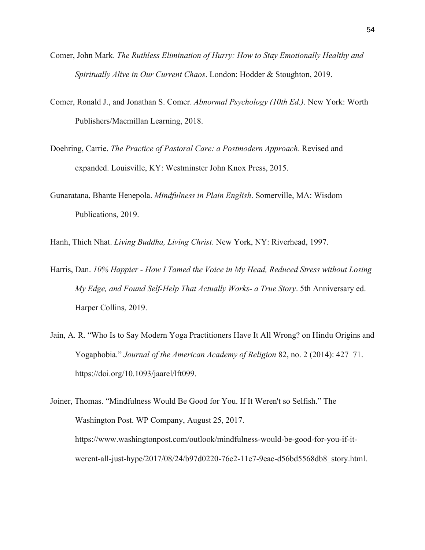- Comer, John Mark. *The Ruthless Elimination of Hurry: How to Stay Emotionally Healthy and Spiritually Alive in Our Current Chaos*. London: Hodder & Stoughton, 2019.
- Comer, Ronald J., and Jonathan S. Comer. *Abnormal Psychology (10th Ed.)*. New York: Worth Publishers/Macmillan Learning, 2018.
- Doehring, Carrie. *The Practice of Pastoral Care: a Postmodern Approach*. Revised and expanded. Louisville, KY: Westminster John Knox Press, 2015.
- Gunaratana, Bhante Henepola. *Mindfulness in Plain English*. Somerville, MA: Wisdom Publications, 2019.

Hanh, Thich Nhat. *Living Buddha, Living Christ*. New York, NY: Riverhead, 1997.

- Harris, Dan. *10% Happier - How I Tamed the Voice in My Head, Reduced Stress without Losing My Edge, and Found Self-Help That Actually Works- a True Story*. 5th Anniversary ed. Harper Collins, 2019.
- Jain, A. R. "Who Is to Say Modern Yoga Practitioners Have It All Wrong? on Hindu Origins and Yogaphobia." *Journal of the American Academy of Religion* 82, no. 2 (2014): 427–71. https://doi.org/10.1093/jaarel/lft099.

Joiner, Thomas. "Mindfulness Would Be Good for You. If It Weren't so Selfish." The Washington Post. WP Company, August 25, 2017. https://www.washingtonpost.com/outlook/mindfulness-would-be-good-for-you-if-itwerent-all-just-hype/2017/08/24/b97d0220-76e2-11e7-9eac-d56bd5568db8\_story.html.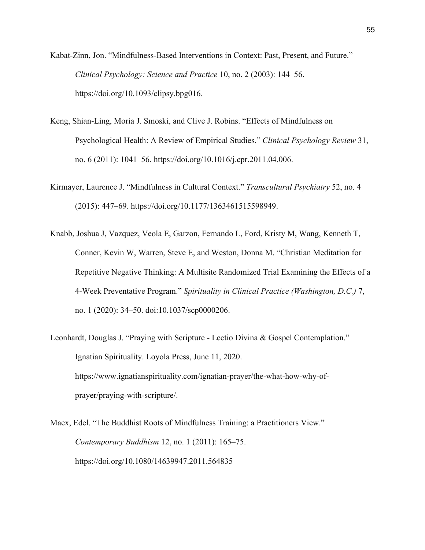Kabat-Zinn, Jon. "Mindfulness-Based Interventions in Context: Past, Present, and Future." *Clinical Psychology: Science and Practice* 10, no. 2 (2003): 144–56. https://doi.org/10.1093/clipsy.bpg016.

- Keng, Shian-Ling, Moria J. Smoski, and Clive J. Robins. "Effects of Mindfulness on Psychological Health: A Review of Empirical Studies." *Clinical Psychology Review* 31, no. 6 (2011): 1041–56. https://doi.org/10.1016/j.cpr.2011.04.006.
- Kirmayer, Laurence J. "Mindfulness in Cultural Context." *Transcultural Psychiatry* 52, no. 4 (2015): 447–69. https://doi.org/10.1177/1363461515598949.
- Knabb, Joshua J, Vazquez, Veola E, Garzon, Fernando L, Ford, Kristy M, Wang, Kenneth T, Conner, Kevin W, Warren, Steve E, and Weston, Donna M. "Christian Meditation for Repetitive Negative Thinking: A Multisite Randomized Trial Examining the Effects of a 4-Week Preventative Program." *Spirituality in Clinical Practice (Washington, D.C.)* 7, no. 1 (2020): 34–50. doi:10.1037/scp0000206.
- Leonhardt, Douglas J. "Praying with Scripture Lectio Divina & Gospel Contemplation." Ignatian Spirituality. Loyola Press, June 11, 2020. https://www.ignatianspirituality.com/ignatian-prayer/the-what-how-why-ofprayer/praying-with-scripture/.
- Maex, Edel. "The Buddhist Roots of Mindfulness Training: a Practitioners View." *Contemporary Buddhism* 12, no. 1 (2011): 165–75. https://doi.org/10.1080/14639947.2011.564835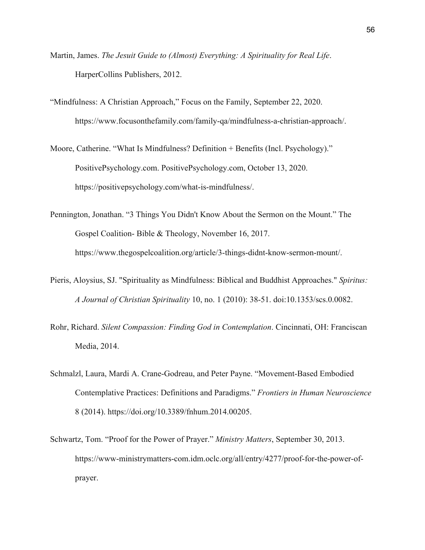- Martin, James. *The Jesuit Guide to (Almost) Everything: A Spirituality for Real Life*. HarperCollins Publishers, 2012.
- "Mindfulness: A Christian Approach," Focus on the Family, September 22, 2020. https://www.focusonthefamily.com/family-qa/mindfulness-a-christian-approach/.

Moore, Catherine. "What Is Mindfulness? Definition + Benefits (Incl. Psychology)." PositivePsychology.com. PositivePsychology.com, October 13, 2020. https://positivepsychology.com/what-is-mindfulness/.

Pennington, Jonathan. "3 Things You Didn't Know About the Sermon on the Mount." The Gospel Coalition- Bible & Theology, November 16, 2017. https://www.thegospelcoalition.org/article/3-things-didnt-know-sermon-mount/.

- Pieris, Aloysius, SJ. "Spirituality as Mindfulness: Biblical and Buddhist Approaches." *Spiritus: A Journal of Christian Spirituality* 10, no. 1 (2010): 38-51. doi:10.1353/scs.0.0082.
- Rohr, Richard. *Silent Compassion: Finding God in Contemplation*. Cincinnati, OH: Franciscan Media, 2014.
- Schmalzl, Laura, Mardi A. Crane-Godreau, and Peter Payne. "Movement-Based Embodied Contemplative Practices: Definitions and Paradigms." *Frontiers in Human Neuroscience* 8 (2014). https://doi.org/10.3389/fnhum.2014.00205.
- Schwartz, Tom. "Proof for the Power of Prayer." *Ministry Matters*, September 30, 2013. https://www-ministrymatters-com.idm.oclc.org/all/entry/4277/proof-for-the-power-ofprayer.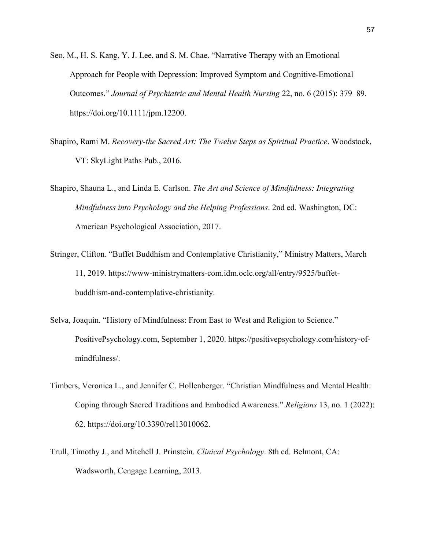- Seo, M., H. S. Kang, Y. J. Lee, and S. M. Chae. "Narrative Therapy with an Emotional Approach for People with Depression: Improved Symptom and Cognitive-Emotional Outcomes." *Journal of Psychiatric and Mental Health Nursing* 22, no. 6 (2015): 379–89. https://doi.org/10.1111/jpm.12200.
- Shapiro, Rami M. *Recovery-the Sacred Art: The Twelve Steps as Spiritual Practice*. Woodstock, VT: SkyLight Paths Pub., 2016.
- Shapiro, Shauna L., and Linda E. Carlson. *The Art and Science of Mindfulness: Integrating Mindfulness into Psychology and the Helping Professions*. 2nd ed. Washington, DC: American Psychological Association, 2017.
- Stringer, Clifton. "Buffet Buddhism and Contemplative Christianity," Ministry Matters, March 11, 2019. https://www-ministrymatters-com.idm.oclc.org/all/entry/9525/buffetbuddhism-and-contemplative-christianity.
- Selva, Joaquin. "History of Mindfulness: From East to West and Religion to Science." PositivePsychology.com, September 1, 2020. https://positivepsychology.com/history-ofmindfulness/.
- Timbers, Veronica L., and Jennifer C. Hollenberger. "Christian Mindfulness and Mental Health: Coping through Sacred Traditions and Embodied Awareness." *Religions* 13, no. 1 (2022): 62. https://doi.org/10.3390/rel13010062.
- Trull, Timothy J., and Mitchell J. Prinstein. *Clinical Psychology*. 8th ed. Belmont, CA: Wadsworth, Cengage Learning, 2013.